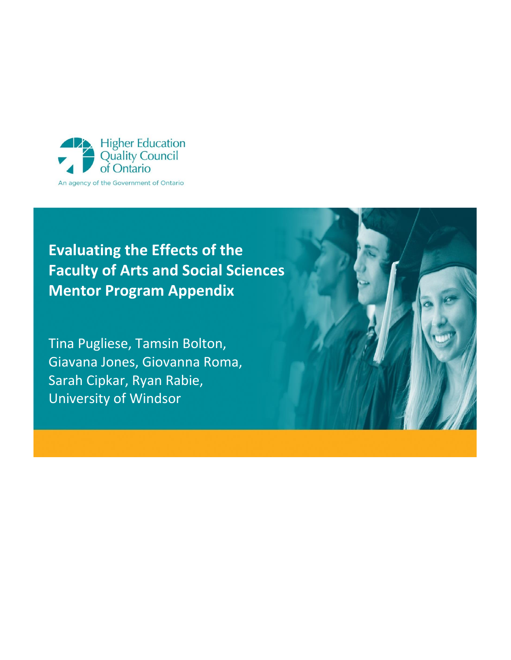

# **Evaluating the Effects of the Faculty of Arts and Social Sciences Mentor Program Appendix**

Tina Pugliese, Tamsin Bolton, Giavana Jones, Giovanna Roma, Sarah Cipkar, Ryan Rabie, University of Windsor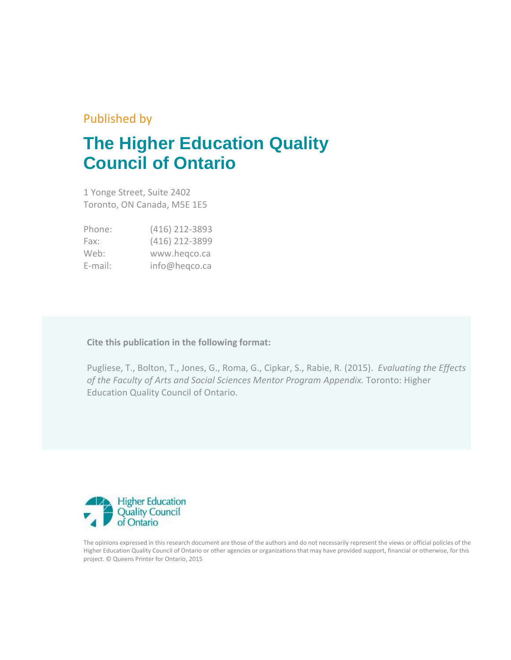### Published by

# **The Higher Education Quality Council of Ontario**

1 Yonge Street, Suite 2402 Toronto, ON Canada, M5E 1E5

| Phone:  | (416) 212-3893 |
|---------|----------------|
| Fax:    | (416) 212-3899 |
| Web:    | www.hegco.ca   |
| E-mail: | info@heqco.ca  |

**Cite this publication in the following format:**

Pugliese, T., Bolton, T., Jones, G., Roma, G., Cipkar, S., Rabie, R. (2015). *Evaluating the Effects of the Faculty of Arts and Social Sciences Mentor Program Appendix.* Toronto: Higher Education Quality Council of Ontario.



The opinions expressed in this research document are those of the authors and do not necessarily represent the views or official policies of the Higher Education Quality Council of Ontario or other agencies or organizations that may have provided support, financial or otherwise, for this project. © Queens Printer for Ontario, 2015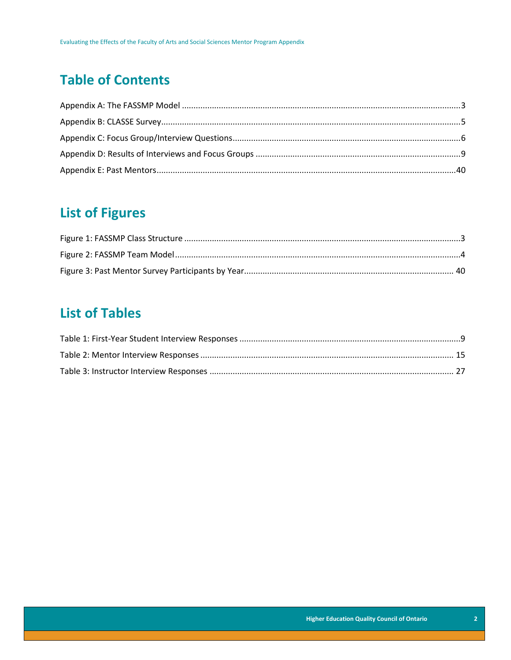### **Table of Contents**

### **List of Figures**

### **List of Tables**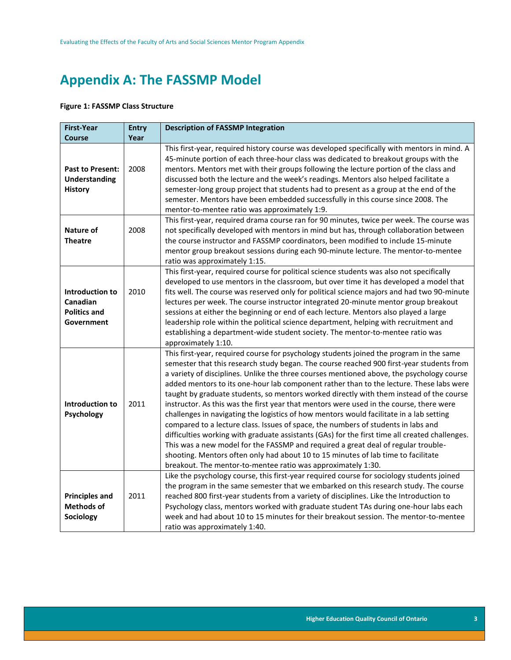### <span id="page-3-0"></span>**Appendix A: The FASSMP Model**

#### <span id="page-3-1"></span>**Figure 1: FASSMP Class Structure**

<span id="page-3-2"></span>

| <b>First-Year</b>                                                 | <b>Entry</b> | <b>Description of FASSMP Integration</b>                                                                                                                                                                                                                                                                                                                                                                                                                                                                                                                                                                                                                                                                                                                                                                                                                                                                                                                                                                                                                                                      |
|-------------------------------------------------------------------|--------------|-----------------------------------------------------------------------------------------------------------------------------------------------------------------------------------------------------------------------------------------------------------------------------------------------------------------------------------------------------------------------------------------------------------------------------------------------------------------------------------------------------------------------------------------------------------------------------------------------------------------------------------------------------------------------------------------------------------------------------------------------------------------------------------------------------------------------------------------------------------------------------------------------------------------------------------------------------------------------------------------------------------------------------------------------------------------------------------------------|
| <b>Course</b>                                                     | Year         |                                                                                                                                                                                                                                                                                                                                                                                                                                                                                                                                                                                                                                                                                                                                                                                                                                                                                                                                                                                                                                                                                               |
| <b>Past to Present:</b><br><b>Understanding</b><br><b>History</b> | 2008         | This first-year, required history course was developed specifically with mentors in mind. A<br>45-minute portion of each three-hour class was dedicated to breakout groups with the<br>mentors. Mentors met with their groups following the lecture portion of the class and<br>discussed both the lecture and the week's readings. Mentors also helped facilitate a<br>semester-long group project that students had to present as a group at the end of the<br>semester. Mentors have been embedded successfully in this course since 2008. The<br>mentor-to-mentee ratio was approximately 1:9.                                                                                                                                                                                                                                                                                                                                                                                                                                                                                            |
| <b>Nature of</b><br><b>Theatre</b>                                | 2008         | This first-year, required drama course ran for 90 minutes, twice per week. The course was<br>not specifically developed with mentors in mind but has, through collaboration between<br>the course instructor and FASSMP coordinators, been modified to include 15-minute<br>mentor group breakout sessions during each 90-minute lecture. The mentor-to-mentee<br>ratio was approximately 1:15.                                                                                                                                                                                                                                                                                                                                                                                                                                                                                                                                                                                                                                                                                               |
| Introduction to<br>Canadian<br><b>Politics and</b><br>Government  | 2010         | This first-year, required course for political science students was also not specifically<br>developed to use mentors in the classroom, but over time it has developed a model that<br>fits well. The course was reserved only for political science majors and had two 90-minute<br>lectures per week. The course instructor integrated 20-minute mentor group breakout<br>sessions at either the beginning or end of each lecture. Mentors also played a large<br>leadership role within the political science department, helping with recruitment and<br>establishing a department-wide student society. The mentor-to-mentee ratio was<br>approximately 1:10.                                                                                                                                                                                                                                                                                                                                                                                                                            |
| <b>Introduction to</b><br>Psychology                              | 2011         | This first-year, required course for psychology students joined the program in the same<br>semester that this research study began. The course reached 900 first-year students from<br>a variety of disciplines. Unlike the three courses mentioned above, the psychology course<br>added mentors to its one-hour lab component rather than to the lecture. These labs were<br>taught by graduate students, so mentors worked directly with them instead of the course<br>instructor. As this was the first year that mentors were used in the course, there were<br>challenges in navigating the logistics of how mentors would facilitate in a lab setting<br>compared to a lecture class. Issues of space, the numbers of students in labs and<br>difficulties working with graduate assistants (GAs) for the first time all created challenges.<br>This was a new model for the FASSMP and required a great deal of regular trouble-<br>shooting. Mentors often only had about 10 to 15 minutes of lab time to facilitate<br>breakout. The mentor-to-mentee ratio was approximately 1:30. |
| <b>Principles and</b><br><b>Methods of</b><br>Sociology           | 2011         | Like the psychology course, this first-year required course for sociology students joined<br>the program in the same semester that we embarked on this research study. The course<br>reached 800 first-year students from a variety of disciplines. Like the Introduction to<br>Psychology class, mentors worked with graduate student TAs during one-hour labs each<br>week and had about 10 to 15 minutes for their breakout session. The mentor-to-mentee<br>ratio was approximately 1:40.                                                                                                                                                                                                                                                                                                                                                                                                                                                                                                                                                                                                 |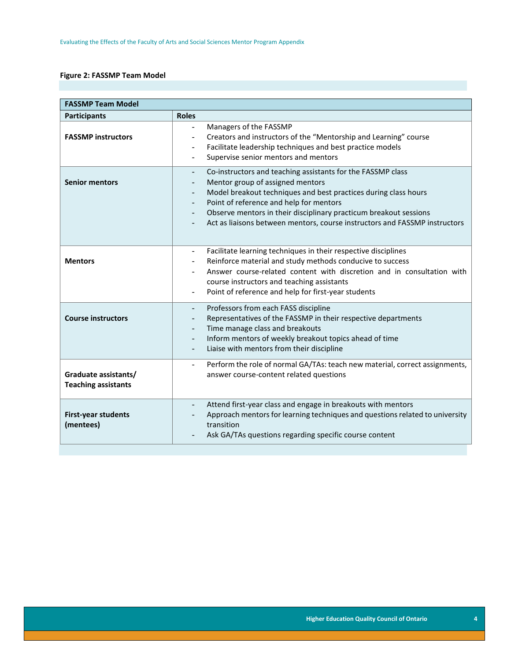#### **Figure 2: FASSMP Team Model**

| <b>FASSMP Team Model</b>                           |                                                                                                                                                                                                                                                                                                                                                                  |  |  |
|----------------------------------------------------|------------------------------------------------------------------------------------------------------------------------------------------------------------------------------------------------------------------------------------------------------------------------------------------------------------------------------------------------------------------|--|--|
| <b>Participants</b>                                | <b>Roles</b>                                                                                                                                                                                                                                                                                                                                                     |  |  |
| <b>FASSMP instructors</b>                          | Managers of the FASSMP<br>Creators and instructors of the "Mentorship and Learning" course<br>Facilitate leadership techniques and best practice models<br>Supervise senior mentors and mentors                                                                                                                                                                  |  |  |
| <b>Senior mentors</b>                              | Co-instructors and teaching assistants for the FASSMP class<br>Mentor group of assigned mentors<br>Model breakout techniques and best practices during class hours<br>Point of reference and help for mentors<br>Observe mentors in their disciplinary practicum breakout sessions<br>Act as liaisons between mentors, course instructors and FASSMP instructors |  |  |
| <b>Mentors</b>                                     | Facilitate learning techniques in their respective disciplines<br>Reinforce material and study methods conducive to success<br>Answer course-related content with discretion and in consultation with<br>course instructors and teaching assistants<br>Point of reference and help for first-year students<br>$\overline{\phantom{a}}$                           |  |  |
| <b>Course instructors</b>                          | Professors from each FASS discipline<br>Representatives of the FASSMP in their respective departments<br>Time manage class and breakouts<br>Inform mentors of weekly breakout topics ahead of time<br>Liaise with mentors from their discipline<br>$\overline{\phantom{a}}$                                                                                      |  |  |
| Graduate assistants/<br><b>Teaching assistants</b> | Perform the role of normal GA/TAs: teach new material, correct assignments,<br>$\overline{\phantom{0}}$<br>answer course-content related questions                                                                                                                                                                                                               |  |  |
| <b>First-year students</b><br>(mentees)            | Attend first-year class and engage in breakouts with mentors<br>Approach mentors for learning techniques and questions related to university<br>transition<br>Ask GA/TAs questions regarding specific course content                                                                                                                                             |  |  |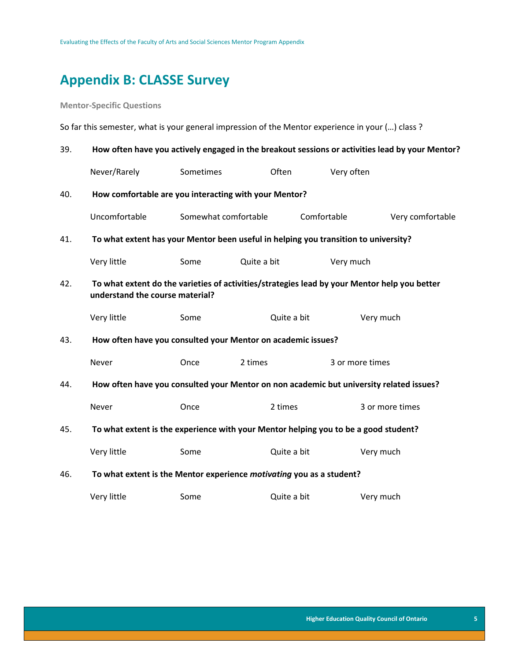### <span id="page-5-0"></span>**Appendix B: CLASSE Survey**

**Mentor-Specific Questions** 

So far this semester, what is your general impression of the Mentor experience in your (…) class ?

| 39. |                                                                                                                                 | How often have you actively engaged in the breakout sessions or activities lead by your Mentor? |             |             |                  |
|-----|---------------------------------------------------------------------------------------------------------------------------------|-------------------------------------------------------------------------------------------------|-------------|-------------|------------------|
|     | Never/Rarely                                                                                                                    | Sometimes                                                                                       | Often       | Very often  |                  |
| 40. | How comfortable are you interacting with your Mentor?                                                                           |                                                                                                 |             |             |                  |
|     | Uncomfortable                                                                                                                   | Somewhat comfortable                                                                            |             | Comfortable | Very comfortable |
| 41. | To what extent has your Mentor been useful in helping you transition to university?                                             |                                                                                                 |             |             |                  |
|     | Very little                                                                                                                     | Some                                                                                            | Quite a bit | Very much   |                  |
| 42. | To what extent do the varieties of activities/strategies lead by your Mentor help you better<br>understand the course material? |                                                                                                 |             |             |                  |
|     | Very little                                                                                                                     | Some                                                                                            | Quite a bit |             | Very much        |
| 43. | How often have you consulted your Mentor on academic issues?                                                                    |                                                                                                 |             |             |                  |
|     | Never                                                                                                                           | Once                                                                                            | 2 times     |             | 3 or more times  |
| 44. | How often have you consulted your Mentor on non academic but university related issues?                                         |                                                                                                 |             |             |                  |
|     | Never                                                                                                                           | Once                                                                                            | 2 times     |             | 3 or more times  |
| 45. | To what extent is the experience with your Mentor helping you to be a good student?                                             |                                                                                                 |             |             |                  |
|     | Very little                                                                                                                     | Some                                                                                            | Quite a bit |             | Very much        |
| 46. | To what extent is the Mentor experience motivating you as a student?                                                            |                                                                                                 |             |             |                  |
|     | Very little                                                                                                                     | Some                                                                                            | Quite a bit |             | Very much        |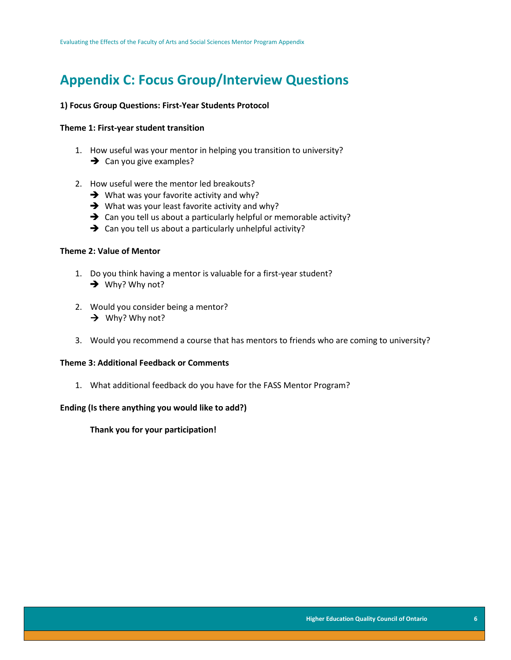### <span id="page-6-0"></span>**Appendix C: Focus Group/Interview Questions**

#### **1) Focus Group Questions: First-Year Students Protocol**

#### **Theme 1: First-year student transition**

- 1. How useful was your mentor in helping you transition to university?  $\rightarrow$  Can you give examples?
- 2. How useful were the mentor led breakouts?
	- $\rightarrow$  What was your favorite activity and why?
	- $\rightarrow$  What was your least favorite activity and why?
	- $\rightarrow$  Can you tell us about a particularly helpful or memorable activity?
	- $\rightarrow$  Can you tell us about a particularly unhelpful activity?

#### **Theme 2: Value of Mentor**

- 1. Do you think having a mentor is valuable for a first-year student?  $\rightarrow$  Why? Why not?
- 2. Would you consider being a mentor?  $\rightarrow$  Why? Why not?
- 3. Would you recommend a course that has mentors to friends who are coming to university?

#### **Theme 3: Additional Feedback or Comments**

1. What additional feedback do you have for the FASS Mentor Program?

#### **Ending (Is there anything you would like to add?)**

**Thank you for your participation!**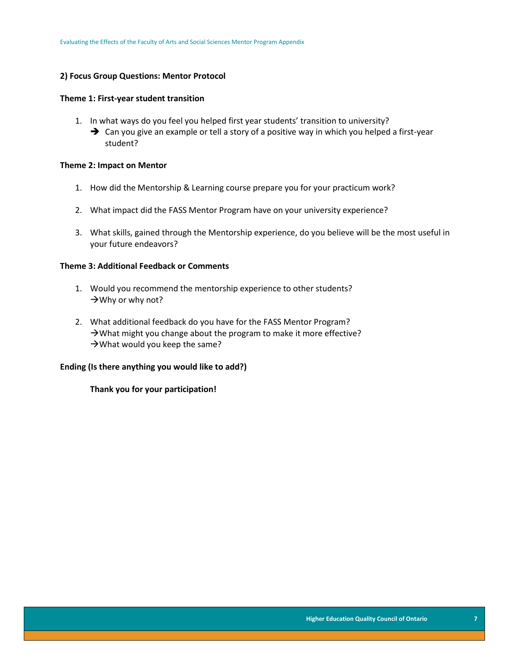#### **2) Focus Group Questions: Mentor Protocol**

#### **Theme 1: First-year student transition**

- 1. In what ways do you feel you helped first year students' transition to university?
	- → Can you give an example or tell a story of a positive way in which you helped a first-year student?

#### **Theme 2: Impact on Mentor**

- 1. How did the Mentorship & Learning course prepare you for your practicum work?
- 2. What impact did the FASS Mentor Program have on your university experience?
- 3. What skills, gained through the Mentorship experience, do you believe will be the most useful in your future endeavors?

#### **Theme 3: Additional Feedback or Comments**

- 1. Would you recommend the mentorship experience to other students?  $\rightarrow$  Why or why not?
- 2. What additional feedback do you have for the FASS Mentor Program?  $\rightarrow$  What might you change about the program to make it more effective?  $\rightarrow$  What would you keep the same?

#### **Ending (Is there anything you would like to add?)**

**Thank you for your participation!**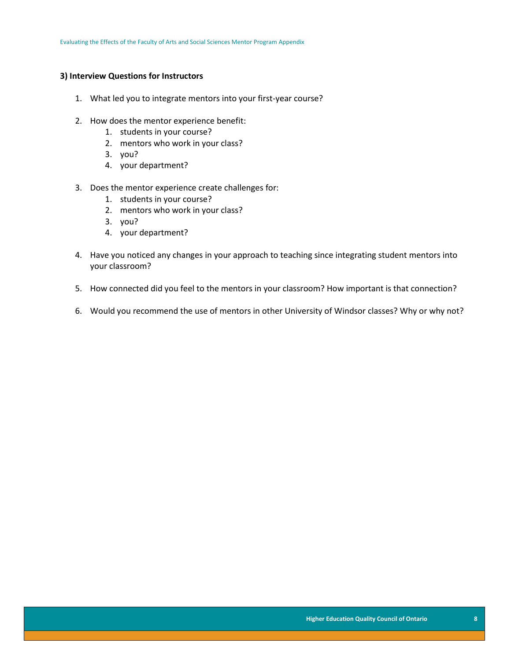#### **3) Interview Questions for Instructors**

- 1. What led you to integrate mentors into your first-year course?
- 2. How does the mentor experience benefit:
	- 1. students in your course?
	- 2. mentors who work in your class?
	- 3. you?
	- 4. your department?
- 3. Does the mentor experience create challenges for:
	- 1. students in your course?
	- 2. mentors who work in your class?
	- 3. you?
	- 4. your department?
- 4. Have you noticed any changes in your approach to teaching since integrating student mentors into your classroom?
- 5. How connected did you feel to the mentors in your classroom? How important is that connection?
- <span id="page-8-0"></span>6. Would you recommend the use of mentors in other University of Windsor classes? Why or why not?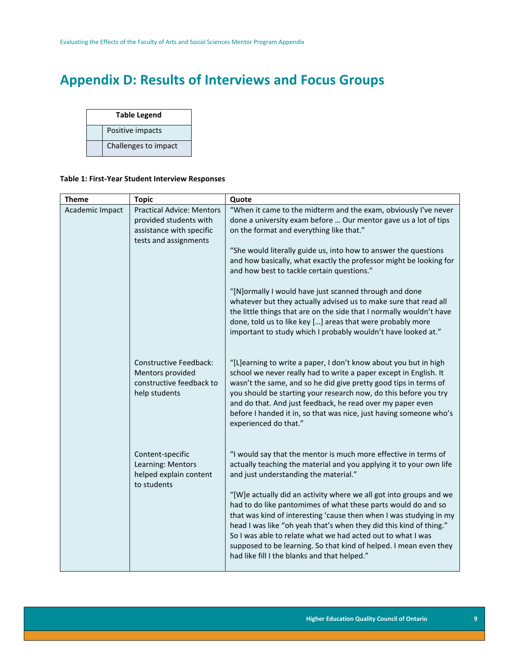## **Appendix D: Results of Interviews and Focus Groups**

| <b>Table Legend</b> |                      |  |
|---------------------|----------------------|--|
|                     | Positive impacts     |  |
|                     | Challenges to impact |  |

#### <span id="page-9-0"></span>**Table 1: First-Year Student Interview Responses**

| <b>Theme</b>    | <b>Topic</b>                                                                                                    | Quote                                                                                                                                                                                                                                                                                                                                                                                                                                                                                                                                                                                                                                                                                                      |
|-----------------|-----------------------------------------------------------------------------------------------------------------|------------------------------------------------------------------------------------------------------------------------------------------------------------------------------------------------------------------------------------------------------------------------------------------------------------------------------------------------------------------------------------------------------------------------------------------------------------------------------------------------------------------------------------------------------------------------------------------------------------------------------------------------------------------------------------------------------------|
| Academic Impact | <b>Practical Advice: Mentors</b><br>provided students with<br>assistance with specific<br>tests and assignments | "When it came to the midterm and the exam, obviously I've never<br>done a university exam before  Our mentor gave us a lot of tips<br>on the format and everything like that."<br>"She would literally guide us, into how to answer the questions<br>and how basically, what exactly the professor might be looking for<br>and how best to tackle certain questions."<br>"[N]ormally I would have just scanned through and done<br>whatever but they actually advised us to make sure that read all<br>the little things that are on the side that I normally wouldn't have<br>done, told us to like key [] areas that were probably more<br>important to study which I probably wouldn't have looked at." |
|                 | <b>Constructive Feedback:</b><br>Mentors provided<br>constructive feedback to<br>help students                  | "[L]earning to write a paper, I don't know about you but in high<br>school we never really had to write a paper except in English. It<br>wasn't the same, and so he did give pretty good tips in terms of<br>you should be starting your research now, do this before you try<br>and do that. And just feedback, he read over my paper even<br>before I handed it in, so that was nice, just having someone who's<br>experienced do that."                                                                                                                                                                                                                                                                 |
|                 | Content-specific<br>Learning: Mentors<br>helped explain content<br>to students                                  | "I would say that the mentor is much more effective in terms of<br>actually teaching the material and you applying it to your own life<br>and just understanding the material."<br>"[W]e actually did an activity where we all got into groups and we<br>had to do like pantomimes of what these parts would do and so<br>that was kind of interesting 'cause then when I was studying in my<br>head I was like "oh yeah that's when they did this kind of thing."<br>So I was able to relate what we had acted out to what I was<br>supposed to be learning. So that kind of helped. I mean even they<br>had like fill I the blanks and that helped."                                                     |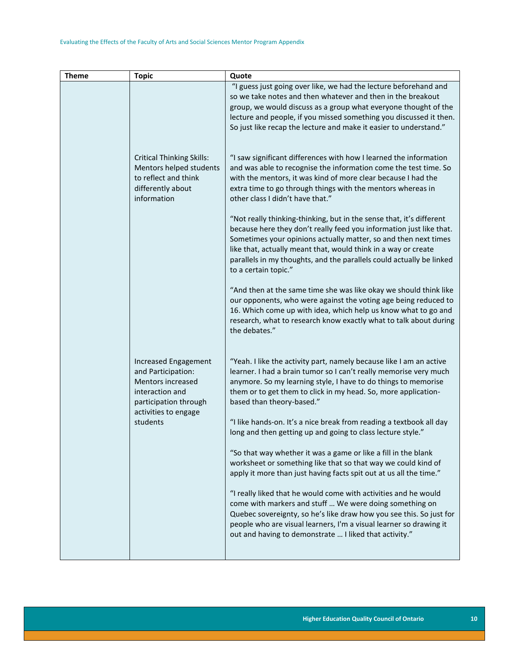| <b>Theme</b> | <b>Topic</b>                                                                                                                                    | Quote                                                                                                                                                                                                                                                                                                                                                                            |
|--------------|-------------------------------------------------------------------------------------------------------------------------------------------------|----------------------------------------------------------------------------------------------------------------------------------------------------------------------------------------------------------------------------------------------------------------------------------------------------------------------------------------------------------------------------------|
|              |                                                                                                                                                 | "I guess just going over like, we had the lecture beforehand and<br>so we take notes and then whatever and then in the breakout<br>group, we would discuss as a group what everyone thought of the<br>lecture and people, if you missed something you discussed it then.<br>So just like recap the lecture and make it easier to understand."                                    |
|              | <b>Critical Thinking Skills:</b><br>Mentors helped students<br>to reflect and think<br>differently about<br>information                         | "I saw significant differences with how I learned the information<br>and was able to recognise the information come the test time. So<br>with the mentors, it was kind of more clear because I had the<br>extra time to go through things with the mentors whereas in<br>other class I didn't have that."                                                                        |
|              |                                                                                                                                                 | "Not really thinking-thinking, but in the sense that, it's different<br>because here they don't really feed you information just like that.<br>Sometimes your opinions actually matter, so and then next times<br>like that, actually meant that, would think in a way or create<br>parallels in my thoughts, and the parallels could actually be linked<br>to a certain topic." |
|              |                                                                                                                                                 | "And then at the same time she was like okay we should think like<br>our opponents, who were against the voting age being reduced to<br>16. Which come up with idea, which help us know what to go and<br>research, what to research know exactly what to talk about during<br>the debates."                                                                                     |
|              | Increased Engagement<br>and Participation:<br>Mentors increased<br>interaction and<br>participation through<br>activities to engage<br>students | "Yeah. I like the activity part, namely because like I am an active<br>learner. I had a brain tumor so I can't really memorise very much<br>anymore. So my learning style, I have to do things to memorise<br>them or to get them to click in my head. So, more application-<br>based than theory-based."<br>"I like hands-on. It's a nice break from reading a textbook all day |
|              |                                                                                                                                                 | long and then getting up and going to class lecture style."<br>"So that way whether it was a game or like a fill in the blank<br>worksheet or something like that so that way we could kind of<br>apply it more than just having facts spit out at us all the time."                                                                                                             |
|              |                                                                                                                                                 | "I really liked that he would come with activities and he would<br>come with markers and stuff  We were doing something on<br>Quebec sovereignty, so he's like draw how you see this. So just for<br>people who are visual learners, I'm a visual learner so drawing it<br>out and having to demonstrate  I liked that activity."                                                |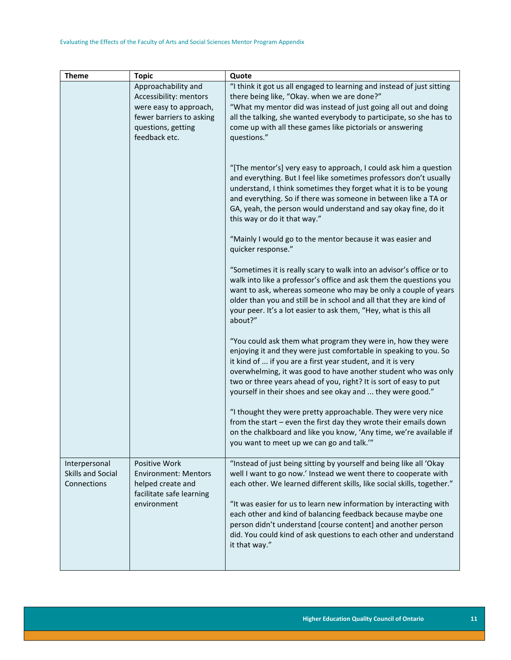| <b>Theme</b>      | <b>Topic</b>                | Quote                                                                                                                                 |
|-------------------|-----------------------------|---------------------------------------------------------------------------------------------------------------------------------------|
|                   | Approachability and         | "I think it got us all engaged to learning and instead of just sitting                                                                |
|                   | Accessibility: mentors      | there being like, "Okay. when we are done?"                                                                                           |
|                   | were easy to approach,      | "What my mentor did was instead of just going all out and doing                                                                       |
|                   | fewer barriers to asking    | all the talking, she wanted everybody to participate, so she has to                                                                   |
|                   | questions, getting          | come up with all these games like pictorials or answering                                                                             |
|                   | feedback etc.               | questions."                                                                                                                           |
|                   |                             |                                                                                                                                       |
|                   |                             | "[The mentor's] very easy to approach, I could ask him a question                                                                     |
|                   |                             | and everything. But I feel like sometimes professors don't usually                                                                    |
|                   |                             | understand, I think sometimes they forget what it is to be young                                                                      |
|                   |                             | and everything. So if there was someone in between like a TA or                                                                       |
|                   |                             | GA, yeah, the person would understand and say okay fine, do it                                                                        |
|                   |                             | this way or do it that way."                                                                                                          |
|                   |                             | "Mainly I would go to the mentor because it was easier and                                                                            |
|                   |                             | quicker response."                                                                                                                    |
|                   |                             |                                                                                                                                       |
|                   |                             | "Sometimes it is really scary to walk into an advisor's office or to                                                                  |
|                   |                             | walk into like a professor's office and ask them the questions you                                                                    |
|                   |                             | want to ask, whereas someone who may be only a couple of years<br>older than you and still be in school and all that they are kind of |
|                   |                             | your peer. It's a lot easier to ask them, "Hey, what is this all                                                                      |
|                   |                             | about?"                                                                                                                               |
|                   |                             |                                                                                                                                       |
|                   |                             | "You could ask them what program they were in, how they were                                                                          |
|                   |                             | enjoying it and they were just comfortable in speaking to you. So                                                                     |
|                   |                             | it kind of  if you are a first year student, and it is very                                                                           |
|                   |                             | overwhelming, it was good to have another student who was only<br>two or three years ahead of you, right? It is sort of easy to put   |
|                   |                             | yourself in their shoes and see okay and  they were good."                                                                            |
|                   |                             |                                                                                                                                       |
|                   |                             | "I thought they were pretty approachable. They were very nice                                                                         |
|                   |                             | from the start - even the first day they wrote their emails down                                                                      |
|                   |                             | on the chalkboard and like you know, 'Any time, we're available if                                                                    |
|                   |                             | you want to meet up we can go and talk.""                                                                                             |
| Interpersonal     | Positive Work               | "Instead of just being sitting by yourself and being like all 'Okay                                                                   |
| Skills and Social | <b>Environment: Mentors</b> | well I want to go now.' Instead we went there to cooperate with                                                                       |
| Connections       | helped create and           | each other. We learned different skills, like social skills, together."                                                               |
|                   | facilitate safe learning    |                                                                                                                                       |
|                   | environment                 | "It was easier for us to learn new information by interacting with                                                                    |
|                   |                             | each other and kind of balancing feedback because maybe one                                                                           |
|                   |                             | person didn't understand [course content] and another person<br>did. You could kind of ask questions to each other and understand     |
|                   |                             | it that way."                                                                                                                         |
|                   |                             |                                                                                                                                       |
|                   |                             |                                                                                                                                       |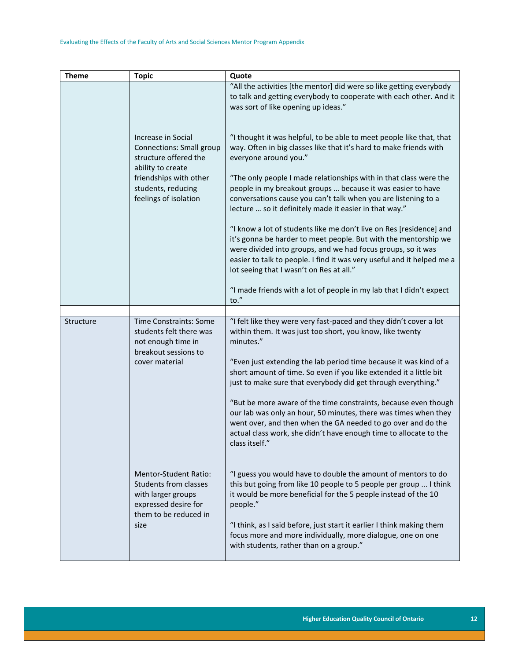| <b>Theme</b> | <b>Topic</b>                                                                                                                                                                 | Quote                                                                                                                                                                                                                                                                                                                                                                                                                                                                                                                                                                                                                                                                                                                                                                                                                                      |
|--------------|------------------------------------------------------------------------------------------------------------------------------------------------------------------------------|--------------------------------------------------------------------------------------------------------------------------------------------------------------------------------------------------------------------------------------------------------------------------------------------------------------------------------------------------------------------------------------------------------------------------------------------------------------------------------------------------------------------------------------------------------------------------------------------------------------------------------------------------------------------------------------------------------------------------------------------------------------------------------------------------------------------------------------------|
|              |                                                                                                                                                                              | "All the activities [the mentor] did were so like getting everybody<br>to talk and getting everybody to cooperate with each other. And it<br>was sort of like opening up ideas."                                                                                                                                                                                                                                                                                                                                                                                                                                                                                                                                                                                                                                                           |
|              | Increase in Social<br><b>Connections: Small group</b><br>structure offered the<br>ability to create<br>friendships with other<br>students, reducing<br>feelings of isolation | "I thought it was helpful, to be able to meet people like that, that<br>way. Often in big classes like that it's hard to make friends with<br>everyone around you."<br>"The only people I made relationships with in that class were the<br>people in my breakout groups  because it was easier to have<br>conversations cause you can't talk when you are listening to a<br>lecture  so it definitely made it easier in that way."<br>"I know a lot of students like me don't live on Res [residence] and<br>it's gonna be harder to meet people. But with the mentorship we<br>were divided into groups, and we had focus groups, so it was<br>easier to talk to people. I find it was very useful and it helped me a<br>lot seeing that I wasn't on Res at all."<br>"I made friends with a lot of people in my lab that I didn't expect |
|              |                                                                                                                                                                              | to."                                                                                                                                                                                                                                                                                                                                                                                                                                                                                                                                                                                                                                                                                                                                                                                                                                       |
| Structure    | <b>Time Constraints: Some</b><br>students felt there was<br>not enough time in<br>breakout sessions to<br>cover material                                                     | "I felt like they were very fast-paced and they didn't cover a lot<br>within them. It was just too short, you know, like twenty<br>minutes."<br>"Even just extending the lab period time because it was kind of a<br>short amount of time. So even if you like extended it a little bit<br>just to make sure that everybody did get through everything."<br>"But be more aware of the time constraints, because even though<br>our lab was only an hour, 50 minutes, there was times when they<br>went over, and then when the GA needed to go over and do the<br>actual class work, she didn't have enough time to allocate to the<br>class itself."                                                                                                                                                                                      |
|              | <b>Mentor-Student Ratio:</b><br><b>Students from classes</b><br>with larger groups<br>expressed desire for<br>them to be reduced in<br>size                                  | "I guess you would have to double the amount of mentors to do<br>this but going from like 10 people to 5 people per group  I think<br>it would be more beneficial for the 5 people instead of the 10<br>people."<br>"I think, as I said before, just start it earlier I think making them<br>focus more and more individually, more dialogue, one on one<br>with students, rather than on a group."                                                                                                                                                                                                                                                                                                                                                                                                                                        |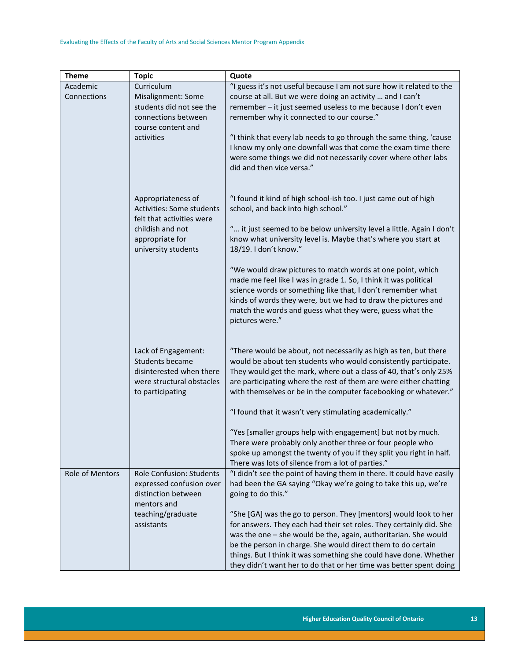| <b>Theme</b>    | <b>Topic</b>                           | Quote                                                                                                                                   |
|-----------------|----------------------------------------|-----------------------------------------------------------------------------------------------------------------------------------------|
| Academic        | Curriculum                             | "I guess it's not useful because I am not sure how it related to the                                                                    |
| Connections     | Misalignment: Some                     | course at all. But we were doing an activity  and I can't                                                                               |
|                 | students did not see the               | remember - it just seemed useless to me because I don't even                                                                            |
|                 | connections between                    | remember why it connected to our course."                                                                                               |
|                 | course content and                     |                                                                                                                                         |
|                 | activities                             | "I think that every lab needs to go through the same thing, 'cause                                                                      |
|                 |                                        | I know my only one downfall was that come the exam time there                                                                           |
|                 |                                        | were some things we did not necessarily cover where other labs                                                                          |
|                 |                                        | did and then vice versa."                                                                                                               |
|                 |                                        |                                                                                                                                         |
|                 |                                        |                                                                                                                                         |
|                 | Appropriateness of                     | "I found it kind of high school-ish too. I just came out of high                                                                        |
|                 | <b>Activities: Some students</b>       | school, and back into high school."                                                                                                     |
|                 | felt that activities were              |                                                                                                                                         |
|                 | childish and not                       | " it just seemed to be below university level a little. Again I don't<br>know what university level is. Maybe that's where you start at |
|                 | appropriate for<br>university students | 18/19. I don't know."                                                                                                                   |
|                 |                                        |                                                                                                                                         |
|                 |                                        | "We would draw pictures to match words at one point, which                                                                              |
|                 |                                        | made me feel like I was in grade 1. So, I think it was political                                                                        |
|                 |                                        | science words or something like that, I don't remember what                                                                             |
|                 |                                        | kinds of words they were, but we had to draw the pictures and                                                                           |
|                 |                                        | match the words and guess what they were, guess what the                                                                                |
|                 |                                        | pictures were."                                                                                                                         |
|                 |                                        |                                                                                                                                         |
|                 |                                        |                                                                                                                                         |
|                 | Lack of Engagement:                    | "There would be about, not necessarily as high as ten, but there                                                                        |
|                 | <b>Students became</b>                 | would be about ten students who would consistently participate.                                                                         |
|                 | disinterested when there               | They would get the mark, where out a class of 40, that's only 25%                                                                       |
|                 | were structural obstacles              | are participating where the rest of them are were either chatting                                                                       |
|                 | to participating                       | with themselves or be in the computer facebooking or whatever."                                                                         |
|                 |                                        | "I found that it wasn't very stimulating academically."                                                                                 |
|                 |                                        |                                                                                                                                         |
|                 |                                        | "Yes [smaller groups help with engagement] but not by much.                                                                             |
|                 |                                        | There were probably only another three or four people who                                                                               |
|                 |                                        | spoke up amongst the twenty of you if they split you right in half.                                                                     |
|                 |                                        | There was lots of silence from a lot of parties."                                                                                       |
| Role of Mentors | <b>Role Confusion: Students</b>        | "I didn't see the point of having them in there. It could have easily                                                                   |
|                 | expressed confusion over               | had been the GA saying "Okay we're going to take this up, we're                                                                         |
|                 | distinction between                    | going to do this."                                                                                                                      |
|                 | mentors and                            |                                                                                                                                         |
|                 | teaching/graduate                      | "She [GA] was the go to person. They [mentors] would look to her                                                                        |
|                 | assistants                             | for answers. They each had their set roles. They certainly did. She                                                                     |
|                 |                                        | was the one - she would be the, again, authoritarian. She would                                                                         |
|                 |                                        | be the person in charge. She would direct them to do certain                                                                            |
|                 |                                        | things. But I think it was something she could have done. Whether                                                                       |
|                 |                                        | they didn't want her to do that or her time was better spent doing                                                                      |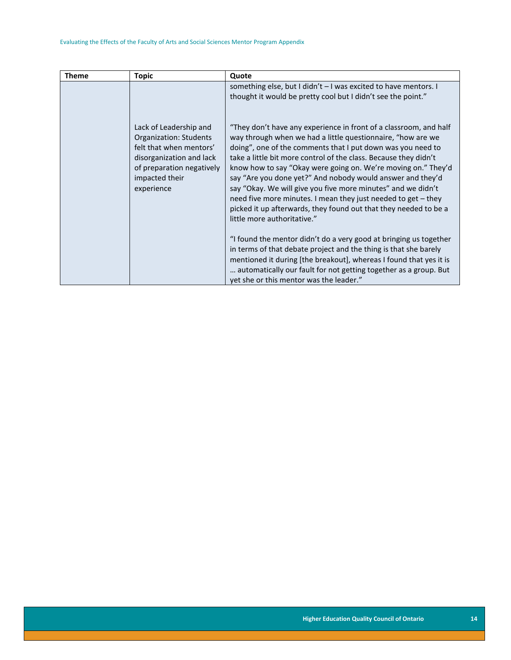<span id="page-14-0"></span>

| <b>Theme</b> | <b>Topic</b>                                                                                                                                           | Quote                                                                                                                                                                                                                                                                                                                                                                                                                                                                                                                                 |
|--------------|--------------------------------------------------------------------------------------------------------------------------------------------------------|---------------------------------------------------------------------------------------------------------------------------------------------------------------------------------------------------------------------------------------------------------------------------------------------------------------------------------------------------------------------------------------------------------------------------------------------------------------------------------------------------------------------------------------|
|              | Lack of Leadership and<br>Organization: Students<br>felt that when mentors'<br>disorganization and lack<br>of preparation negatively<br>impacted their | something else, but I didn't - I was excited to have mentors. I<br>thought it would be pretty cool but I didn't see the point."<br>"They don't have any experience in front of a classroom, and half<br>way through when we had a little questionnaire, "how are we<br>doing", one of the comments that I put down was you need to<br>take a little bit more control of the class. Because they didn't<br>know how to say "Okay were going on. We're moving on." They'd<br>say "Are you done yet?" And nobody would answer and they'd |
|              | experience                                                                                                                                             | say "Okay. We will give you five more minutes" and we didn't<br>need five more minutes. I mean they just needed to get - they<br>picked it up afterwards, they found out that they needed to be a<br>little more authoritative."                                                                                                                                                                                                                                                                                                      |
|              |                                                                                                                                                        | "I found the mentor didn't do a very good at bringing us together<br>in terms of that debate project and the thing is that she barely<br>mentioned it during [the breakout], whereas I found that yes it is<br>automatically our fault for not getting together as a group. But<br>yet she or this mentor was the leader."                                                                                                                                                                                                            |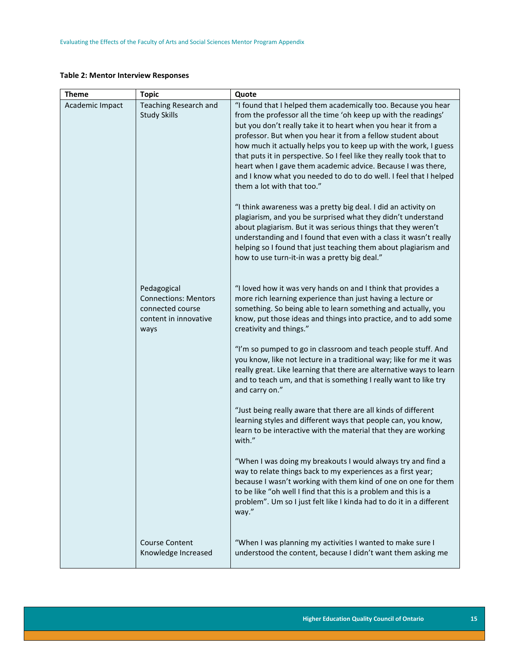#### **Table 2: Mentor Interview Responses**

| <b>Theme</b>    | <b>Topic</b>                                                                                    | Quote                                                                                                                                                                                                                                                                                                                                                                                                                                                                                                                                                                           |
|-----------------|-------------------------------------------------------------------------------------------------|---------------------------------------------------------------------------------------------------------------------------------------------------------------------------------------------------------------------------------------------------------------------------------------------------------------------------------------------------------------------------------------------------------------------------------------------------------------------------------------------------------------------------------------------------------------------------------|
| Academic Impact | <b>Teaching Research and</b><br><b>Study Skills</b>                                             | "I found that I helped them academically too. Because you hear<br>from the professor all the time 'oh keep up with the readings'<br>but you don't really take it to heart when you hear it from a<br>professor. But when you hear it from a fellow student about<br>how much it actually helps you to keep up with the work, I guess<br>that puts it in perspective. So I feel like they really took that to<br>heart when I gave them academic advice. Because I was there,<br>and I know what you needed to do to do well. I feel that I helped<br>them a lot with that too." |
|                 |                                                                                                 | "I think awareness was a pretty big deal. I did an activity on<br>plagiarism, and you be surprised what they didn't understand<br>about plagiarism. But it was serious things that they weren't<br>understanding and I found that even with a class it wasn't really<br>helping so I found that just teaching them about plagiarism and<br>how to use turn-it-in was a pretty big deal."                                                                                                                                                                                        |
|                 | Pedagogical<br><b>Connections: Mentors</b><br>connected course<br>content in innovative<br>ways | "I loved how it was very hands on and I think that provides a<br>more rich learning experience than just having a lecture or<br>something. So being able to learn something and actually, you<br>know, put those ideas and things into practice, and to add some<br>creativity and things."                                                                                                                                                                                                                                                                                     |
|                 |                                                                                                 | "I'm so pumped to go in classroom and teach people stuff. And<br>you know, like not lecture in a traditional way; like for me it was<br>really great. Like learning that there are alternative ways to learn<br>and to teach um, and that is something I really want to like try<br>and carry on."                                                                                                                                                                                                                                                                              |
|                 |                                                                                                 | "Just being really aware that there are all kinds of different<br>learning styles and different ways that people can, you know,<br>learn to be interactive with the material that they are working<br>with."                                                                                                                                                                                                                                                                                                                                                                    |
|                 |                                                                                                 | "When I was doing my breakouts I would always try and find a<br>way to relate things back to my experiences as a first year;<br>because I wasn't working with them kind of one on one for them<br>to be like "oh well I find that this is a problem and this is a<br>problem". Um so I just felt like I kinda had to do it in a different<br>way."                                                                                                                                                                                                                              |
|                 | <b>Course Content</b><br>Knowledge Increased                                                    | "When I was planning my activities I wanted to make sure I<br>understood the content, because I didn't want them asking me                                                                                                                                                                                                                                                                                                                                                                                                                                                      |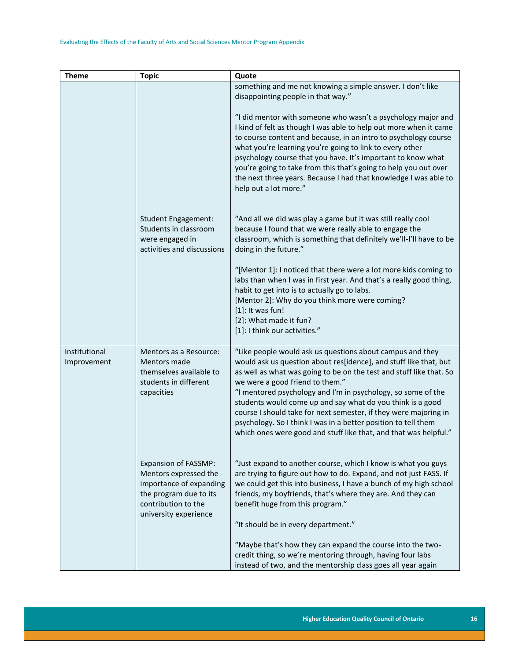| <b>Theme</b>                 | <b>Topic</b>                                                                                                                                              | Quote                                                                                                                                                                                                                                                                                                                                                                                                                                                                                                                                                                            |
|------------------------------|-----------------------------------------------------------------------------------------------------------------------------------------------------------|----------------------------------------------------------------------------------------------------------------------------------------------------------------------------------------------------------------------------------------------------------------------------------------------------------------------------------------------------------------------------------------------------------------------------------------------------------------------------------------------------------------------------------------------------------------------------------|
|                              |                                                                                                                                                           | something and me not knowing a simple answer. I don't like<br>disappointing people in that way."                                                                                                                                                                                                                                                                                                                                                                                                                                                                                 |
|                              |                                                                                                                                                           | "I did mentor with someone who wasn't a psychology major and<br>I kind of felt as though I was able to help out more when it came<br>to course content and because, in an intro to psychology course<br>what you're learning you're going to link to every other<br>psychology course that you have. It's important to know what<br>you're going to take from this that's going to help you out over<br>the next three years. Because I had that knowledge I was able to<br>help out a lot more."                                                                                |
|                              | <b>Student Engagement:</b><br>Students in classroom<br>were engaged in<br>activities and discussions                                                      | "And all we did was play a game but it was still really cool<br>because I found that we were really able to engage the<br>classroom, which is something that definitely we'll-I'll have to be<br>doing in the future."                                                                                                                                                                                                                                                                                                                                                           |
|                              |                                                                                                                                                           | "[Mentor 1]: I noticed that there were a lot more kids coming to<br>labs than when I was in first year. And that's a really good thing,<br>habit to get into is to actually go to labs.<br>[Mentor 2]: Why do you think more were coming?<br>$[1]$ : It was fun!<br>[2]: What made it fun?<br>[1]: I think our activities."                                                                                                                                                                                                                                                      |
| Institutional<br>Improvement | Mentors as a Resource:<br>Mentors made<br>themselves available to<br>students in different<br>capacities                                                  | "Like people would ask us questions about campus and they<br>would ask us question about res[idence], and stuff like that, but<br>as well as what was going to be on the test and stuff like that. So<br>we were a good friend to them."<br>"I mentored psychology and I'm in psychology, so some of the<br>students would come up and say what do you think is a good<br>course I should take for next semester, if they were majoring in<br>psychology. So I think I was in a better position to tell them<br>which ones were good and stuff like that, and that was helpful." |
|                              | <b>Expansion of FASSMP:</b><br>Mentors expressed the<br>importance of expanding<br>the program due to its<br>contribution to the<br>university experience | "Just expand to another course, which I know is what you guys<br>are trying to figure out how to do. Expand, and not just FASS. If<br>we could get this into business, I have a bunch of my high school<br>friends, my boyfriends, that's where they are. And they can<br>benefit huge from this program."<br>"It should be in every department."                                                                                                                                                                                                                                |
|                              |                                                                                                                                                           | "Maybe that's how they can expand the course into the two-<br>credit thing, so we're mentoring through, having four labs<br>instead of two, and the mentorship class goes all year again                                                                                                                                                                                                                                                                                                                                                                                         |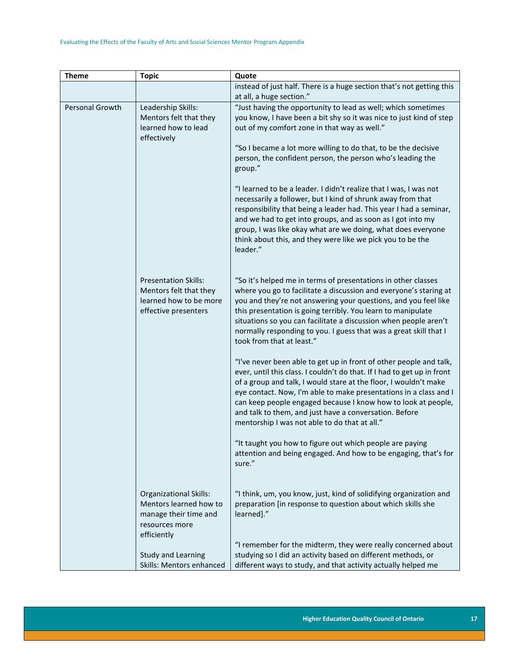| <b>Theme</b>    | <b>Topic</b>                                            | Quote                                                                                                                                         |
|-----------------|---------------------------------------------------------|-----------------------------------------------------------------------------------------------------------------------------------------------|
|                 |                                                         | instead of just half. There is a huge section that's not getting this                                                                         |
|                 |                                                         | at all, a huge section."                                                                                                                      |
| Personal Growth | Leadership Skills:                                      | "Just having the opportunity to lead as well; which sometimes                                                                                 |
|                 | Mentors felt that they<br>learned how to lead           | you know, I have been a bit shy so it was nice to just kind of step<br>out of my comfort zone in that way as well."                           |
|                 | effectively                                             |                                                                                                                                               |
|                 |                                                         | "So I became a lot more willing to do that, to be the decisive                                                                                |
|                 |                                                         | person, the confident person, the person who's leading the                                                                                    |
|                 |                                                         | group."                                                                                                                                       |
|                 |                                                         | "I learned to be a leader. I didn't realize that I was, I was not                                                                             |
|                 |                                                         | necessarily a follower, but I kind of shrunk away from that                                                                                   |
|                 |                                                         | responsibility that being a leader had. This year I had a seminar,                                                                            |
|                 |                                                         | and we had to get into groups, and as soon as I got into my                                                                                   |
|                 |                                                         | group, I was like okay what are we doing, what does everyone<br>think about this, and they were like we pick you to be the                    |
|                 |                                                         | leader."                                                                                                                                      |
|                 |                                                         |                                                                                                                                               |
|                 | <b>Presentation Skills:</b>                             | "So it's helped me in terms of presentations in other classes                                                                                 |
|                 | Mentors felt that they                                  | where you go to facilitate a discussion and everyone's staring at                                                                             |
|                 | learned how to be more                                  | you and they're not answering your questions, and you feel like                                                                               |
|                 | effective presenters                                    | this presentation is going terribly. You learn to manipulate                                                                                  |
|                 |                                                         | situations so you can facilitate a discussion when people aren't<br>normally responding to you. I guess that was a great skill that I         |
|                 |                                                         | took from that at least."                                                                                                                     |
|                 |                                                         |                                                                                                                                               |
|                 |                                                         | "I've never been able to get up in front of other people and talk,<br>ever, until this class. I couldn't do that. If I had to get up in front |
|                 |                                                         | of a group and talk, I would stare at the floor, I wouldn't make                                                                              |
|                 |                                                         | eye contact. Now, I'm able to make presentations in a class and I                                                                             |
|                 |                                                         | can keep people engaged because I know how to look at people,                                                                                 |
|                 |                                                         | and talk to them, and just have a conversation. Before                                                                                        |
|                 |                                                         | mentorship I was not able to do that at all."                                                                                                 |
|                 |                                                         | "It taught you how to figure out which people are paying                                                                                      |
|                 |                                                         | attention and being engaged. And how to be engaging, that's for                                                                               |
|                 |                                                         | sure."                                                                                                                                        |
|                 |                                                         |                                                                                                                                               |
|                 | <b>Organizational Skills:</b><br>Mentors learned how to | "I think, um, you know, just, kind of solidifying organization and<br>preparation [in response to question about which skills she             |
|                 | manage their time and                                   | learned]."                                                                                                                                    |
|                 | resources more                                          |                                                                                                                                               |
|                 | efficiently                                             |                                                                                                                                               |
|                 |                                                         | "I remember for the midterm, they were really concerned about                                                                                 |
|                 | Study and Learning                                      | studying so I did an activity based on different methods, or                                                                                  |
|                 | Skills: Mentors enhanced                                | different ways to study, and that activity actually helped me                                                                                 |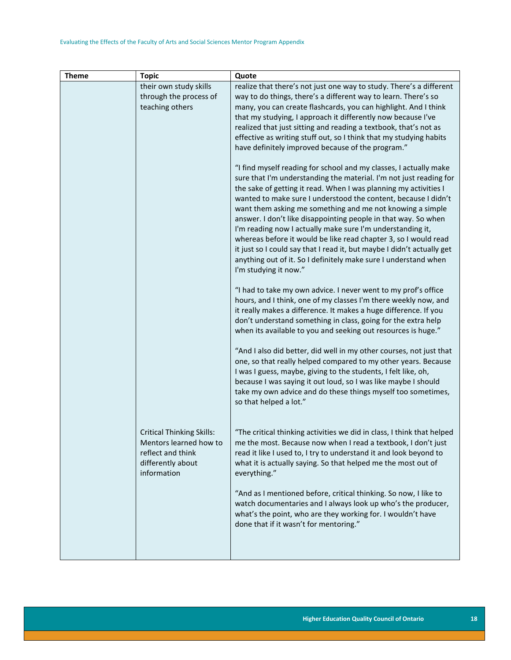| <b>Theme</b> | <b>Topic</b>                           | Quote                                                                                                                                     |
|--------------|----------------------------------------|-------------------------------------------------------------------------------------------------------------------------------------------|
|              | their own study skills                 | realize that there's not just one way to study. There's a different                                                                       |
|              | through the process of                 | way to do things, there's a different way to learn. There's so                                                                            |
|              | teaching others                        | many, you can create flashcards, you can highlight. And I think                                                                           |
|              |                                        | that my studying, I approach it differently now because I've                                                                              |
|              |                                        | realized that just sitting and reading a textbook, that's not as                                                                          |
|              |                                        | effective as writing stuff out, so I think that my studying habits                                                                        |
|              |                                        | have definitely improved because of the program."                                                                                         |
|              |                                        | "I find myself reading for school and my classes, I actually make                                                                         |
|              |                                        | sure that I'm understanding the material. I'm not just reading for                                                                        |
|              |                                        | the sake of getting it read. When I was planning my activities I                                                                          |
|              |                                        | wanted to make sure I understood the content, because I didn't                                                                            |
|              |                                        | want them asking me something and me not knowing a simple                                                                                 |
|              |                                        | answer. I don't like disappointing people in that way. So when                                                                            |
|              |                                        | I'm reading now I actually make sure I'm understanding it,                                                                                |
|              |                                        | whereas before it would be like read chapter 3, so I would read                                                                           |
|              |                                        | it just so I could say that I read it, but maybe I didn't actually get<br>anything out of it. So I definitely make sure I understand when |
|              |                                        | I'm studying it now."                                                                                                                     |
|              |                                        |                                                                                                                                           |
|              |                                        | "I had to take my own advice. I never went to my prof's office                                                                            |
|              |                                        | hours, and I think, one of my classes I'm there weekly now, and                                                                           |
|              |                                        | it really makes a difference. It makes a huge difference. If you                                                                          |
|              |                                        | don't understand something in class, going for the extra help<br>when its available to you and seeking out resources is huge."            |
|              |                                        |                                                                                                                                           |
|              |                                        | "And I also did better, did well in my other courses, not just that                                                                       |
|              |                                        | one, so that really helped compared to my other years. Because                                                                            |
|              |                                        | I was I guess, maybe, giving to the students, I felt like, oh,                                                                            |
|              |                                        | because I was saying it out loud, so I was like maybe I should                                                                            |
|              |                                        | take my own advice and do these things myself too sometimes,                                                                              |
|              |                                        | so that helped a lot."                                                                                                                    |
|              |                                        |                                                                                                                                           |
|              | <b>Critical Thinking Skills:</b>       | "The critical thinking activities we did in class, I think that helped                                                                    |
|              | Mentors learned how to                 | me the most. Because now when I read a textbook, I don't just                                                                             |
|              | reflect and think<br>differently about | read it like I used to, I try to understand it and look beyond to                                                                         |
|              | information                            | what it is actually saying. So that helped me the most out of<br>everything."                                                             |
|              |                                        |                                                                                                                                           |
|              |                                        | "And as I mentioned before, critical thinking. So now, I like to                                                                          |
|              |                                        | watch documentaries and I always look up who's the producer,                                                                              |
|              |                                        | what's the point, who are they working for. I wouldn't have                                                                               |
|              |                                        | done that if it wasn't for mentoring."                                                                                                    |
|              |                                        |                                                                                                                                           |
|              |                                        |                                                                                                                                           |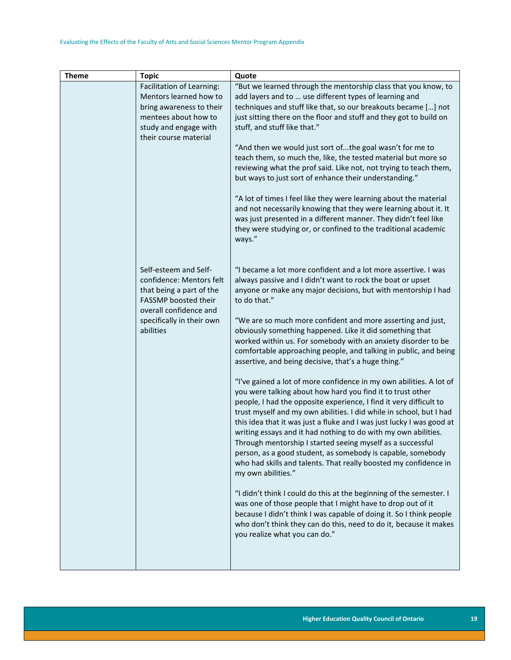| <b>Theme</b> | <b>Topic</b>                                       | Quote                                                                                                                               |
|--------------|----------------------------------------------------|-------------------------------------------------------------------------------------------------------------------------------------|
|              | Facilitation of Learning:                          | "But we learned through the mentorship class that you know, to                                                                      |
|              | Mentors learned how to<br>bring awareness to their | add layers and to  use different types of learning and<br>techniques and stuff like that, so our breakouts became [] not            |
|              | mentees about how to                               | just sitting there on the floor and stuff and they got to build on                                                                  |
|              | study and engage with                              | stuff, and stuff like that."                                                                                                        |
|              | their course material                              |                                                                                                                                     |
|              |                                                    | "And then we would just sort ofthe goal wasn't for me to                                                                            |
|              |                                                    | teach them, so much the, like, the tested material but more so<br>reviewing what the prof said. Like not, not trying to teach them, |
|              |                                                    | but ways to just sort of enhance their understanding."                                                                              |
|              |                                                    |                                                                                                                                     |
|              |                                                    | "A lot of times I feel like they were learning about the material                                                                   |
|              |                                                    | and not necessarily knowing that they were learning about it. It                                                                    |
|              |                                                    | was just presented in a different manner. They didn't feel like<br>they were studying or, or confined to the traditional academic   |
|              |                                                    | ways."                                                                                                                              |
|              |                                                    |                                                                                                                                     |
|              |                                                    |                                                                                                                                     |
|              | Self-esteem and Self-<br>confidence: Mentors felt  | "I became a lot more confident and a lot more assertive. I was<br>always passive and I didn't want to rock the boat or upset        |
|              | that being a part of the                           | anyone or make any major decisions, but with mentorship I had                                                                       |
|              | FASSMP boosted their                               | to do that."                                                                                                                        |
|              | overall confidence and                             |                                                                                                                                     |
|              | specifically in their own<br>abilities             | "We are so much more confident and more asserting and just,<br>obviously something happened. Like it did something that             |
|              |                                                    | worked within us. For somebody with an anxiety disorder to be                                                                       |
|              |                                                    | comfortable approaching people, and talking in public, and being                                                                    |
|              |                                                    | assertive, and being decisive, that's a huge thing."                                                                                |
|              |                                                    | "I've gained a lot of more confidence in my own abilities. A lot of                                                                 |
|              |                                                    | you were talking about how hard you find it to trust other                                                                          |
|              |                                                    | people, I had the opposite experience, I find it very difficult to                                                                  |
|              |                                                    | trust myself and my own abilities. I did while in school, but I had                                                                 |
|              |                                                    | this idea that it was just a fluke and I was just lucky I was good at                                                               |
|              |                                                    | writing essays and it had nothing to do with my own abilities.<br>Through mentorship I started seeing myself as a successful        |
|              |                                                    | person, as a good student, as somebody is capable, somebody                                                                         |
|              |                                                    | who had skills and talents. That really boosted my confidence in                                                                    |
|              |                                                    | my own abilities."                                                                                                                  |
|              |                                                    | "I didn't think I could do this at the beginning of the semester. I                                                                 |
|              |                                                    | was one of those people that I might have to drop out of it                                                                         |
|              |                                                    | because I didn't think I was capable of doing it. So I think people                                                                 |
|              |                                                    | who don't think they can do this, need to do it, because it makes                                                                   |
|              |                                                    | you realize what you can do."                                                                                                       |
|              |                                                    |                                                                                                                                     |
|              |                                                    |                                                                                                                                     |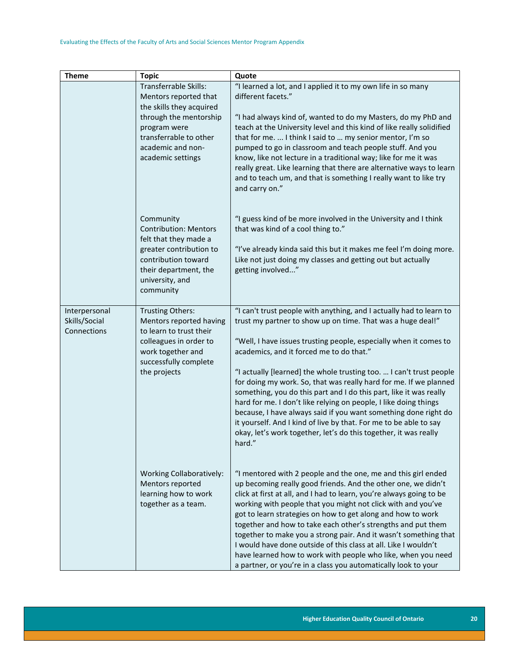| <b>Theme</b>                                  | <b>Topic</b>                                                                                                                                                                             | Quote                                                                                                                                                                                                                                                                                                                                                                                                                                                                                                                                                                                                                                                                                                                                                          |
|-----------------------------------------------|------------------------------------------------------------------------------------------------------------------------------------------------------------------------------------------|----------------------------------------------------------------------------------------------------------------------------------------------------------------------------------------------------------------------------------------------------------------------------------------------------------------------------------------------------------------------------------------------------------------------------------------------------------------------------------------------------------------------------------------------------------------------------------------------------------------------------------------------------------------------------------------------------------------------------------------------------------------|
|                                               | Transferrable Skills:<br>Mentors reported that<br>the skills they acquired<br>through the mentorship<br>program were<br>transferrable to other<br>academic and non-<br>academic settings | "I learned a lot, and I applied it to my own life in so many<br>different facets."<br>"I had always kind of, wanted to do my Masters, do my PhD and<br>teach at the University level and this kind of like really solidified<br>that for me.  I think I said to  my senior mentor, I'm so<br>pumped to go in classroom and teach people stuff. And you<br>know, like not lecture in a traditional way; like for me it was<br>really great. Like learning that there are alternative ways to learn<br>and to teach um, and that is something I really want to like try<br>and carry on."                                                                                                                                                                        |
|                                               | Community<br><b>Contribution: Mentors</b><br>felt that they made a<br>greater contribution to<br>contribution toward<br>their department, the<br>university, and<br>community            | "I guess kind of be more involved in the University and I think<br>that was kind of a cool thing to."<br>"I've already kinda said this but it makes me feel I'm doing more.<br>Like not just doing my classes and getting out but actually<br>getting involved"                                                                                                                                                                                                                                                                                                                                                                                                                                                                                                |
| Interpersonal<br>Skills/Social<br>Connections | Trusting Others:<br>Mentors reported having<br>to learn to trust their<br>colleagues in order to<br>work together and<br>successfully complete<br>the projects                           | "I can't trust people with anything, and I actually had to learn to<br>trust my partner to show up on time. That was a huge deal!"<br>"Well, I have issues trusting people, especially when it comes to<br>academics, and it forced me to do that."<br>"I actually [learned] the whole trusting too.  I can't trust people<br>for doing my work. So, that was really hard for me. If we planned<br>something, you do this part and I do this part, like it was really<br>hard for me. I don't like relying on people, I like doing things<br>because, I have always said if you want something done right do<br>it yourself. And I kind of live by that. For me to be able to say<br>okay, let's work together, let's do this together, it was really<br>hard. |
|                                               | <b>Working Collaboratively:</b><br>Mentors reported<br>learning how to work<br>together as a team.                                                                                       | "I mentored with 2 people and the one, me and this girl ended<br>up becoming really good friends. And the other one, we didn't<br>click at first at all, and I had to learn, you're always going to be<br>working with people that you might not click with and you've<br>got to learn strategies on how to get along and how to work<br>together and how to take each other's strengths and put them<br>together to make you a strong pair. And it wasn't something that<br>I would have done outside of this class at all. Like I wouldn't<br>have learned how to work with people who like, when you need<br>a partner, or you're in a class you automatically look to your                                                                                 |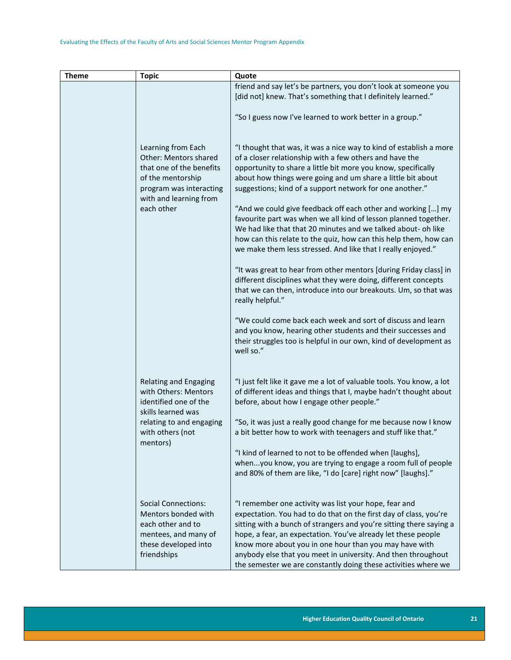| <b>Theme</b>                                             | <b>Topic</b>                                                                                                                                                                                                                                                                                                                | Quote                                                                                                                                                                                                                                                                                                                                                                                                                                                                                                                                                                                                                                                             |
|----------------------------------------------------------|-----------------------------------------------------------------------------------------------------------------------------------------------------------------------------------------------------------------------------------------------------------------------------------------------------------------------------|-------------------------------------------------------------------------------------------------------------------------------------------------------------------------------------------------------------------------------------------------------------------------------------------------------------------------------------------------------------------------------------------------------------------------------------------------------------------------------------------------------------------------------------------------------------------------------------------------------------------------------------------------------------------|
|                                                          |                                                                                                                                                                                                                                                                                                                             | friend and say let's be partners, you don't look at someone you<br>[did not] knew. That's something that I definitely learned."<br>"So I guess now I've learned to work better in a group."                                                                                                                                                                                                                                                                                                                                                                                                                                                                       |
|                                                          | Learning from Each<br><b>Other: Mentors shared</b><br>that one of the benefits<br>of the mentorship<br>program was interacting<br>with and learning from<br>each other                                                                                                                                                      | "I thought that was, it was a nice way to kind of establish a more<br>of a closer relationship with a few others and have the<br>opportunity to share a little bit more you know, specifically<br>about how things were going and um share a little bit about<br>suggestions; kind of a support network for one another."<br>"And we could give feedback off each other and working [] my<br>favourite part was when we all kind of lesson planned together.<br>We had like that that 20 minutes and we talked about- oh like<br>how can this relate to the quiz, how can this help them, how can<br>we make them less stressed. And like that I really enjoyed." |
|                                                          |                                                                                                                                                                                                                                                                                                                             | "It was great to hear from other mentors [during Friday class] in<br>different disciplines what they were doing, different concepts<br>that we can then, introduce into our breakouts. Um, so that was<br>really helpful."                                                                                                                                                                                                                                                                                                                                                                                                                                        |
|                                                          |                                                                                                                                                                                                                                                                                                                             | "We could come back each week and sort of discuss and learn<br>and you know, hearing other students and their successes and<br>their struggles too is helpful in our own, kind of development as<br>well so."                                                                                                                                                                                                                                                                                                                                                                                                                                                     |
|                                                          | Relating and Engaging<br>with Others: Mentors<br>identified one of the<br>skills learned was                                                                                                                                                                                                                                | "I just felt like it gave me a lot of valuable tools. You know, a lot<br>of different ideas and things that I, maybe hadn't thought about<br>before, about how I engage other people."                                                                                                                                                                                                                                                                                                                                                                                                                                                                            |
| relating to and engaging<br>with others (not<br>mentors) | "So, it was just a really good change for me because now I know<br>a bit better how to work with teenagers and stuff like that."<br>"I kind of learned to not to be offended when [laughs],<br>whenyou know, you are trying to engage a room full of people<br>and 80% of them are like, "I do [care] right now" [laughs]." |                                                                                                                                                                                                                                                                                                                                                                                                                                                                                                                                                                                                                                                                   |
|                                                          | <b>Social Connections:</b><br>Mentors bonded with<br>each other and to<br>mentees, and many of<br>these developed into<br>friendships                                                                                                                                                                                       | "I remember one activity was list your hope, fear and<br>expectation. You had to do that on the first day of class, you're<br>sitting with a bunch of strangers and you're sitting there saying a<br>hope, a fear, an expectation. You've already let these people<br>know more about you in one hour than you may have with<br>anybody else that you meet in university. And then throughout<br>the semester we are constantly doing these activities where we                                                                                                                                                                                                   |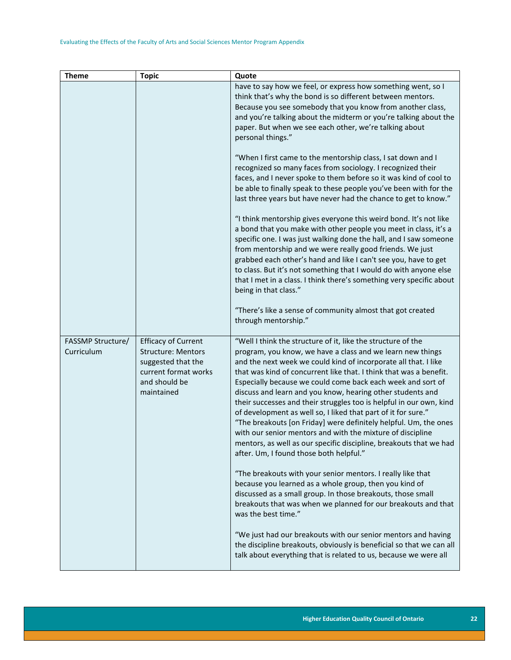| <b>Theme</b>                    | <b>Topic</b>                                                                                                                         | Quote                                                                                                                                                                                                                                                                                                                                                                                                                                                                                                                                                                                                                                                                                                                                                                                       |
|---------------------------------|--------------------------------------------------------------------------------------------------------------------------------------|---------------------------------------------------------------------------------------------------------------------------------------------------------------------------------------------------------------------------------------------------------------------------------------------------------------------------------------------------------------------------------------------------------------------------------------------------------------------------------------------------------------------------------------------------------------------------------------------------------------------------------------------------------------------------------------------------------------------------------------------------------------------------------------------|
|                                 |                                                                                                                                      | have to say how we feel, or express how something went, so I<br>think that's why the bond is so different between mentors.<br>Because you see somebody that you know from another class,<br>and you're talking about the midterm or you're talking about the<br>paper. But when we see each other, we're talking about<br>personal things."                                                                                                                                                                                                                                                                                                                                                                                                                                                 |
|                                 |                                                                                                                                      | "When I first came to the mentorship class, I sat down and I<br>recognized so many faces from sociology. I recognized their<br>faces, and I never spoke to them before so it was kind of cool to<br>be able to finally speak to these people you've been with for the<br>last three years but have never had the chance to get to know."                                                                                                                                                                                                                                                                                                                                                                                                                                                    |
|                                 |                                                                                                                                      | "I think mentorship gives everyone this weird bond. It's not like<br>a bond that you make with other people you meet in class, it's a<br>specific one. I was just walking done the hall, and I saw someone<br>from mentorship and we were really good friends. We just<br>grabbed each other's hand and like I can't see you, have to get<br>to class. But it's not something that I would do with anyone else<br>that I met in a class. I think there's something very specific about<br>being in that class."                                                                                                                                                                                                                                                                             |
|                                 |                                                                                                                                      | "There's like a sense of community almost that got created<br>through mentorship."                                                                                                                                                                                                                                                                                                                                                                                                                                                                                                                                                                                                                                                                                                          |
| FASSMP Structure/<br>Curriculum | <b>Efficacy of Current</b><br><b>Structure: Mentors</b><br>suggested that the<br>current format works<br>and should be<br>maintained | "Well I think the structure of it, like the structure of the<br>program, you know, we have a class and we learn new things<br>and the next week we could kind of incorporate all that. I like<br>that was kind of concurrent like that. I think that was a benefit.<br>Especially because we could come back each week and sort of<br>discuss and learn and you know, hearing other students and<br>their successes and their struggles too is helpful in our own, kind<br>of development as well so, I liked that part of it for sure."<br>"The breakouts [on Friday] were definitely helpful. Um, the ones<br>with our senior mentors and with the mixture of discipline<br>mentors, as well as our specific discipline, breakouts that we had<br>after. Um, I found those both helpful." |
|                                 |                                                                                                                                      | "The breakouts with your senior mentors. I really like that<br>because you learned as a whole group, then you kind of<br>discussed as a small group. In those breakouts, those small<br>breakouts that was when we planned for our breakouts and that<br>was the best time."                                                                                                                                                                                                                                                                                                                                                                                                                                                                                                                |
|                                 |                                                                                                                                      | "We just had our breakouts with our senior mentors and having<br>the discipline breakouts, obviously is beneficial so that we can all<br>talk about everything that is related to us, because we were all                                                                                                                                                                                                                                                                                                                                                                                                                                                                                                                                                                                   |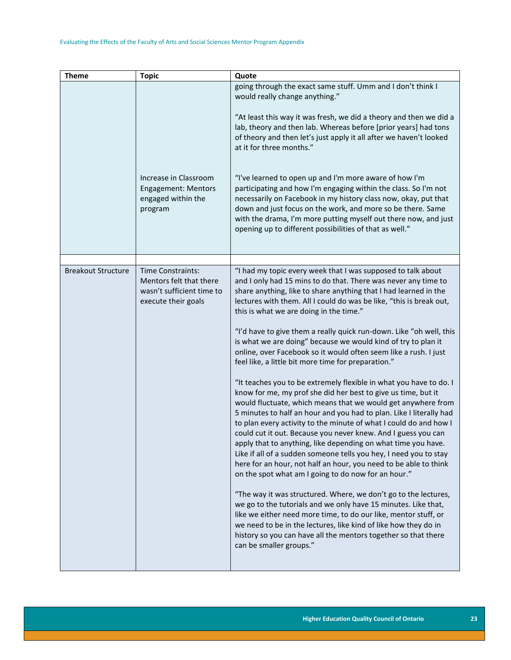| <b>Theme</b>              | <b>Topic</b>                                                                                     | Quote                                                                                                                                                                                                                                                                                                                                                                                                                                                                                                                                                                                                                                                                                                                                                                                                                                                                                                                                                                                                                                                                                                                                                                                                                                                                                                                                                                                                                                                                                                                                                                                                                                                |
|---------------------------|--------------------------------------------------------------------------------------------------|------------------------------------------------------------------------------------------------------------------------------------------------------------------------------------------------------------------------------------------------------------------------------------------------------------------------------------------------------------------------------------------------------------------------------------------------------------------------------------------------------------------------------------------------------------------------------------------------------------------------------------------------------------------------------------------------------------------------------------------------------------------------------------------------------------------------------------------------------------------------------------------------------------------------------------------------------------------------------------------------------------------------------------------------------------------------------------------------------------------------------------------------------------------------------------------------------------------------------------------------------------------------------------------------------------------------------------------------------------------------------------------------------------------------------------------------------------------------------------------------------------------------------------------------------------------------------------------------------------------------------------------------------|
|                           | Increase in Classroom<br>Engagement: Mentors<br>engaged within the<br>program                    | going through the exact same stuff. Umm and I don't think I<br>would really change anything."<br>"At least this way it was fresh, we did a theory and then we did a<br>lab, theory and then lab. Whereas before [prior years] had tons<br>of theory and then let's just apply it all after we haven't looked<br>at it for three months."<br>"I've learned to open up and I'm more aware of how I'm<br>participating and how I'm engaging within the class. So I'm not<br>necessarily on Facebook in my history class now, okay, put that<br>down and just focus on the work, and more so be there. Same<br>with the drama, I'm more putting myself out there now, and just<br>opening up to different possibilities of that as well."                                                                                                                                                                                                                                                                                                                                                                                                                                                                                                                                                                                                                                                                                                                                                                                                                                                                                                                |
|                           |                                                                                                  |                                                                                                                                                                                                                                                                                                                                                                                                                                                                                                                                                                                                                                                                                                                                                                                                                                                                                                                                                                                                                                                                                                                                                                                                                                                                                                                                                                                                                                                                                                                                                                                                                                                      |
| <b>Breakout Structure</b> | Time Constraints:<br>Mentors felt that there<br>wasn't sufficient time to<br>execute their goals | "I had my topic every week that I was supposed to talk about<br>and I only had 15 mins to do that. There was never any time to<br>share anything, like to share anything that I had learned in the<br>lectures with them. All I could do was be like, "this is break out,<br>this is what we are doing in the time."<br>"I'd have to give them a really quick run-down. Like "oh well, this<br>is what we are doing" because we would kind of try to plan it<br>online, over Facebook so it would often seem like a rush. I just<br>feel like, a little bit more time for preparation."<br>"It teaches you to be extremely flexible in what you have to do. I<br>know for me, my prof she did her best to give us time, but it<br>would fluctuate, which means that we would get anywhere from<br>5 minutes to half an hour and you had to plan. Like I literally had<br>to plan every activity to the minute of what I could do and how I<br>could cut it out. Because you never knew. And I guess you can<br>apply that to anything, like depending on what time you have.<br>Like if all of a sudden someone tells you hey, I need you to stay<br>here for an hour, not half an hour, you need to be able to think<br>on the spot what am I going to do now for an hour."<br>"The way it was structured. Where, we don't go to the lectures,<br>we go to the tutorials and we only have 15 minutes. Like that,<br>like we either need more time, to do our like, mentor stuff, or<br>we need to be in the lectures, like kind of like how they do in<br>history so you can have all the mentors together so that there<br>can be smaller groups." |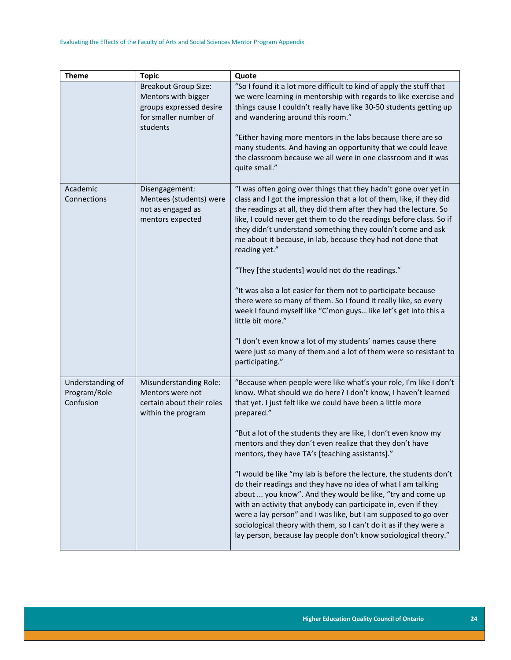| <b>Theme</b>                                  | <b>Topic</b>                                                                                                       | Quote                                                                                                                                                                                                                                                                                                                                                                                                                                                                                                                                                                                                                                                                                                                                                                                                                                                                             |
|-----------------------------------------------|--------------------------------------------------------------------------------------------------------------------|-----------------------------------------------------------------------------------------------------------------------------------------------------------------------------------------------------------------------------------------------------------------------------------------------------------------------------------------------------------------------------------------------------------------------------------------------------------------------------------------------------------------------------------------------------------------------------------------------------------------------------------------------------------------------------------------------------------------------------------------------------------------------------------------------------------------------------------------------------------------------------------|
|                                               | <b>Breakout Group Size:</b><br>Mentors with bigger<br>groups expressed desire<br>for smaller number of<br>students | "So I found it a lot more difficult to kind of apply the stuff that<br>we were learning in mentorship with regards to like exercise and<br>things cause I couldn't really have like 30-50 students getting up<br>and wandering around this room."<br>"Either having more mentors in the labs because there are so<br>many students. And having an opportunity that we could leave<br>the classroom because we all were in one classroom and it was<br>quite small."                                                                                                                                                                                                                                                                                                                                                                                                               |
| Academic<br>Connections                       | Disengagement:<br>Mentees (students) were<br>not as engaged as<br>mentors expected                                 | "I was often going over things that they hadn't gone over yet in<br>class and I got the impression that a lot of them, like, if they did<br>the readings at all, they did them after they had the lecture. So<br>like, I could never get them to do the readings before class. So if<br>they didn't understand something they couldn't come and ask<br>me about it because, in lab, because they had not done that<br>reading yet."<br>"They [the students] would not do the readings."<br>"It was also a lot easier for them not to participate because<br>there were so many of them. So I found it really like, so every<br>week I found myself like "C'mon guys like let's get into this a<br>little bit more."<br>"I don't even know a lot of my students' names cause there<br>were just so many of them and a lot of them were so resistant to<br>participating."          |
| Understanding of<br>Program/Role<br>Confusion | Misunderstanding Role:<br>Mentors were not<br>certain about their roles<br>within the program                      | "Because when people were like what's your role, I'm like I don't<br>know. What should we do here? I don't know, I haven't learned<br>that yet. I just felt like we could have been a little more<br>prepared."<br>"But a lot of the students they are like, I don't even know my<br>mentors and they don't even realize that they don't have<br>mentors, they have TA's [teaching assistants]."<br>"I would be like "my lab is before the lecture, the students don't<br>do their readings and they have no idea of what I am talking<br>about  you know". And they would be like, "try and come up<br>with an activity that anybody can participate in, even if they<br>were a lay person" and I was like, but I am supposed to go over<br>sociological theory with them, so I can't do it as if they were a<br>lay person, because lay people don't know sociological theory." |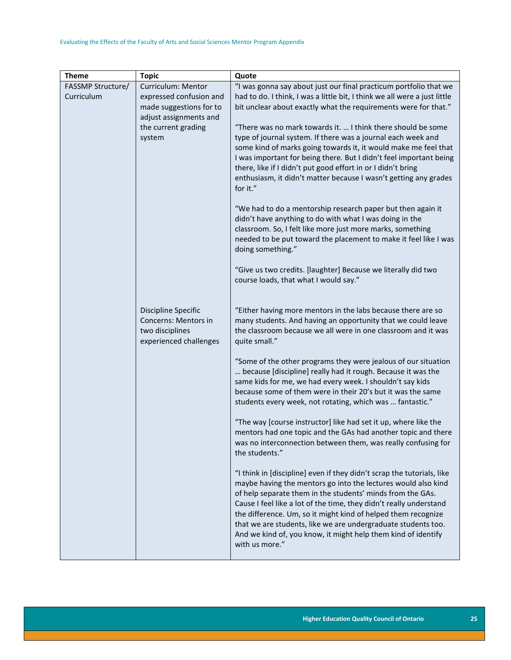| <b>Theme</b>      | <b>Topic</b>                                | Quote                                                                                                                        |
|-------------------|---------------------------------------------|------------------------------------------------------------------------------------------------------------------------------|
| FASSMP Structure/ | Curriculum: Mentor                          | "I was gonna say about just our final practicum portfolio that we                                                            |
| Curriculum        | expressed confusion and                     | had to do. I think, I was a little bit, I think we all were a just little                                                    |
|                   | made suggestions for to                     | bit unclear about exactly what the requirements were for that."                                                              |
|                   | adjust assignments and                      |                                                                                                                              |
|                   | the current grading                         | "There was no mark towards it.  I think there should be some                                                                 |
|                   | system                                      | type of journal system. If there was a journal each week and                                                                 |
|                   |                                             | some kind of marks going towards it, it would make me feel that                                                              |
|                   |                                             | I was important for being there. But I didn't feel important being                                                           |
|                   |                                             | there, like if I didn't put good effort in or I didn't bring                                                                 |
|                   |                                             | enthusiasm, it didn't matter because I wasn't getting any grades<br>for it."                                                 |
|                   |                                             |                                                                                                                              |
|                   |                                             | "We had to do a mentorship research paper but then again it                                                                  |
|                   |                                             | didn't have anything to do with what I was doing in the                                                                      |
|                   |                                             | classroom. So, I felt like more just more marks, something                                                                   |
|                   |                                             | needed to be put toward the placement to make it feel like I was                                                             |
|                   |                                             | doing something."                                                                                                            |
|                   |                                             | "Give us two credits. [laughter] Because we literally did two                                                                |
|                   |                                             | course loads, that what I would say."                                                                                        |
|                   |                                             |                                                                                                                              |
|                   |                                             |                                                                                                                              |
|                   | Discipline Specific<br>Concerns: Mentors in | "Either having more mentors in the labs because there are so<br>many students. And having an opportunity that we could leave |
|                   | two disciplines                             | the classroom because we all were in one classroom and it was                                                                |
|                   | experienced challenges                      | quite small."                                                                                                                |
|                   |                                             |                                                                                                                              |
|                   |                                             | "Some of the other programs they were jealous of our situation                                                               |
|                   |                                             | because [discipline] really had it rough. Because it was the                                                                 |
|                   |                                             | same kids for me, we had every week. I shouldn't say kids                                                                    |
|                   |                                             | because some of them were in their 20's but it was the same                                                                  |
|                   |                                             | students every week, not rotating, which was  fantastic."                                                                    |
|                   |                                             | "The way [course instructor] like had set it up, where like the                                                              |
|                   |                                             | mentors had one topic and the GAs had another topic and there                                                                |
|                   |                                             | was no interconnection between them, was really confusing for                                                                |
|                   |                                             | the students."                                                                                                               |
|                   |                                             | "I think in [discipline] even if they didn't scrap the tutorials, like                                                       |
|                   |                                             | maybe having the mentors go into the lectures would also kind                                                                |
|                   |                                             | of help separate them in the students' minds from the GAs.                                                                   |
|                   |                                             | Cause I feel like a lot of the time, they didn't really understand                                                           |
|                   |                                             | the difference. Um, so it might kind of helped them recognize                                                                |
|                   |                                             | that we are students, like we are undergraduate students too.                                                                |
|                   |                                             | And we kind of, you know, it might help them kind of identify                                                                |
|                   |                                             | with us more."                                                                                                               |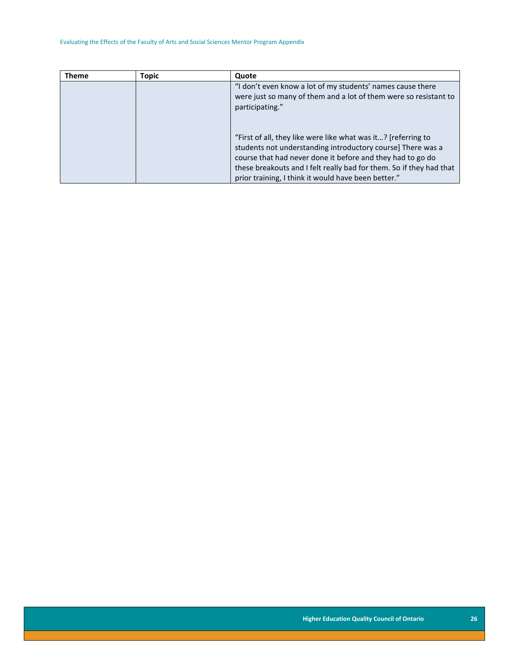<span id="page-26-0"></span>

| <b>Theme</b> | Topic | Quote                                                                                                                                                                                                                                                                                                                    |
|--------------|-------|--------------------------------------------------------------------------------------------------------------------------------------------------------------------------------------------------------------------------------------------------------------------------------------------------------------------------|
|              |       | "I don't even know a lot of my students' names cause there<br>were just so many of them and a lot of them were so resistant to<br>participating."                                                                                                                                                                        |
|              |       | "First of all, they like were like what was it? [referring to<br>students not understanding introductory course] There was a<br>course that had never done it before and they had to go do<br>these breakouts and I felt really bad for them. So if they had that<br>prior training, I think it would have been better." |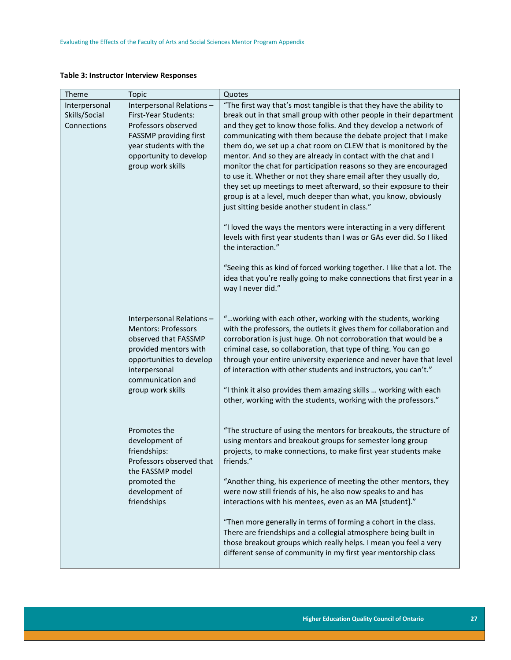#### **Table 3: Instructor Interview Responses**

| Theme         | Topic                                    | Quotes                                                                                                                                                                                                                                                                                                                               |
|---------------|------------------------------------------|--------------------------------------------------------------------------------------------------------------------------------------------------------------------------------------------------------------------------------------------------------------------------------------------------------------------------------------|
| Interpersonal | Interpersonal Relations-                 | "The first way that's most tangible is that they have the ability to                                                                                                                                                                                                                                                                 |
| Skills/Social | First-Year Students:                     | break out in that small group with other people in their department                                                                                                                                                                                                                                                                  |
| Connections   | Professors observed                      | and they get to know those folks. And they develop a network of                                                                                                                                                                                                                                                                      |
|               | FASSMP providing first                   | communicating with them because the debate project that I make                                                                                                                                                                                                                                                                       |
|               | year students with the                   | them do, we set up a chat room on CLEW that is monitored by the                                                                                                                                                                                                                                                                      |
|               | opportunity to develop                   | mentor. And so they are already in contact with the chat and I                                                                                                                                                                                                                                                                       |
|               | group work skills                        | monitor the chat for participation reasons so they are encouraged                                                                                                                                                                                                                                                                    |
|               |                                          | to use it. Whether or not they share email after they usually do,                                                                                                                                                                                                                                                                    |
|               |                                          | they set up meetings to meet afterward, so their exposure to their                                                                                                                                                                                                                                                                   |
|               |                                          | group is at a level, much deeper than what, you know, obviously                                                                                                                                                                                                                                                                      |
|               |                                          | just sitting beside another student in class."                                                                                                                                                                                                                                                                                       |
|               |                                          | "I loved the ways the mentors were interacting in a very different                                                                                                                                                                                                                                                                   |
|               |                                          | levels with first year students than I was or GAs ever did. So I liked                                                                                                                                                                                                                                                               |
|               |                                          | the interaction."                                                                                                                                                                                                                                                                                                                    |
|               |                                          | "Seeing this as kind of forced working together. I like that a lot. The                                                                                                                                                                                                                                                              |
|               |                                          | idea that you're really going to make connections that first year in a                                                                                                                                                                                                                                                               |
|               |                                          | way I never did."                                                                                                                                                                                                                                                                                                                    |
|               |                                          |                                                                                                                                                                                                                                                                                                                                      |
|               | Interpersonal Relations-                 | "working with each other, working with the students, working                                                                                                                                                                                                                                                                         |
|               | <b>Mentors: Professors</b>               | with the professors, the outlets it gives them for collaboration and                                                                                                                                                                                                                                                                 |
|               | observed that FASSMP                     | corroboration is just huge. Oh not corroboration that would be a                                                                                                                                                                                                                                                                     |
|               | provided mentors with                    | criminal case, so collaboration, that type of thing. You can go                                                                                                                                                                                                                                                                      |
|               | opportunities to develop                 | through your entire university experience and never have that level                                                                                                                                                                                                                                                                  |
|               | interpersonal                            | of interaction with other students and instructors, you can't."                                                                                                                                                                                                                                                                      |
|               | communication and                        |                                                                                                                                                                                                                                                                                                                                      |
|               | group work skills                        | "I think it also provides them amazing skills  working with each                                                                                                                                                                                                                                                                     |
|               |                                          | other, working with the students, working with the professors."                                                                                                                                                                                                                                                                      |
|               |                                          |                                                                                                                                                                                                                                                                                                                                      |
|               | Promotes the                             | "The structure of using the mentors for breakouts, the structure of                                                                                                                                                                                                                                                                  |
|               | development of                           | using mentors and breakout groups for semester long group                                                                                                                                                                                                                                                                            |
|               | friendships:<br>Professors observed that | projects, to make connections, to make first year students make<br>friends."                                                                                                                                                                                                                                                         |
|               | the FASSMP model                         |                                                                                                                                                                                                                                                                                                                                      |
|               | promoted the                             | "Another thing, his experience of meeting the other mentors, they                                                                                                                                                                                                                                                                    |
|               | development of                           | were now still friends of his, he also now speaks to and has                                                                                                                                                                                                                                                                         |
|               |                                          |                                                                                                                                                                                                                                                                                                                                      |
|               |                                          |                                                                                                                                                                                                                                                                                                                                      |
|               |                                          |                                                                                                                                                                                                                                                                                                                                      |
|               |                                          |                                                                                                                                                                                                                                                                                                                                      |
|               |                                          |                                                                                                                                                                                                                                                                                                                                      |
|               |                                          |                                                                                                                                                                                                                                                                                                                                      |
|               | friendships                              | interactions with his mentees, even as an MA [student]."<br>"Then more generally in terms of forming a cohort in the class.<br>There are friendships and a collegial atmosphere being built in<br>those breakout groups which really helps. I mean you feel a very<br>different sense of community in my first year mentorship class |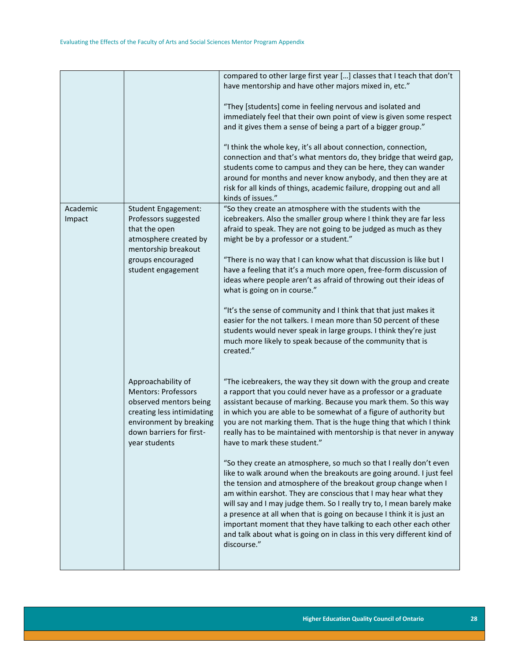|                    |                                                                                                                                                                                  | compared to other large first year [] classes that I teach that don't<br>have mentorship and have other majors mixed in, etc."<br>"They [students] come in feeling nervous and isolated and<br>immediately feel that their own point of view is given some respect<br>and it gives them a sense of being a part of a bigger group."<br>"I think the whole key, it's all about connection, connection,<br>connection and that's what mentors do, they bridge that weird gap,<br>students come to campus and they can be here, they can wander<br>around for months and never know anybody, and then they are at<br>risk for all kinds of things, academic failure, dropping out and all<br>kinds of issues."                                                                                                                                                                                                                                                                                                                                                     |
|--------------------|----------------------------------------------------------------------------------------------------------------------------------------------------------------------------------|-----------------------------------------------------------------------------------------------------------------------------------------------------------------------------------------------------------------------------------------------------------------------------------------------------------------------------------------------------------------------------------------------------------------------------------------------------------------------------------------------------------------------------------------------------------------------------------------------------------------------------------------------------------------------------------------------------------------------------------------------------------------------------------------------------------------------------------------------------------------------------------------------------------------------------------------------------------------------------------------------------------------------------------------------------------------|
| Academic<br>Impact | <b>Student Engagement:</b><br>Professors suggested<br>that the open<br>atmosphere created by<br>mentorship breakout<br>groups encouraged<br>student engagement                   | "So they create an atmosphere with the students with the<br>icebreakers. Also the smaller group where I think they are far less<br>afraid to speak. They are not going to be judged as much as they<br>might be by a professor or a student."<br>"There is no way that I can know what that discussion is like but I<br>have a feeling that it's a much more open, free-form discussion of<br>ideas where people aren't as afraid of throwing out their ideas of<br>what is going on in course."<br>"It's the sense of community and I think that that just makes it<br>easier for the not talkers. I mean more than 50 percent of these<br>students would never speak in large groups. I think they're just<br>much more likely to speak because of the community that is<br>created."                                                                                                                                                                                                                                                                         |
|                    | Approachability of<br><b>Mentors: Professors</b><br>observed mentors being<br>creating less intimidating<br>environment by breaking<br>down barriers for first-<br>year students | "The icebreakers, the way they sit down with the group and create<br>a rapport that you could never have as a professor or a graduate<br>assistant because of marking. Because you mark them. So this way<br>in which you are able to be somewhat of a figure of authority but<br>you are not marking them. That is the huge thing that which I think<br>really has to be maintained with mentorship is that never in anyway<br>have to mark these student."<br>"So they create an atmosphere, so much so that I really don't even<br>like to walk around when the breakouts are going around. I just feel<br>the tension and atmosphere of the breakout group change when I<br>am within earshot. They are conscious that I may hear what they<br>will say and I may judge them. So I really try to, I mean barely make<br>a presence at all when that is going on because I think it is just an<br>important moment that they have talking to each other each other<br>and talk about what is going on in class in this very different kind of<br>discourse." |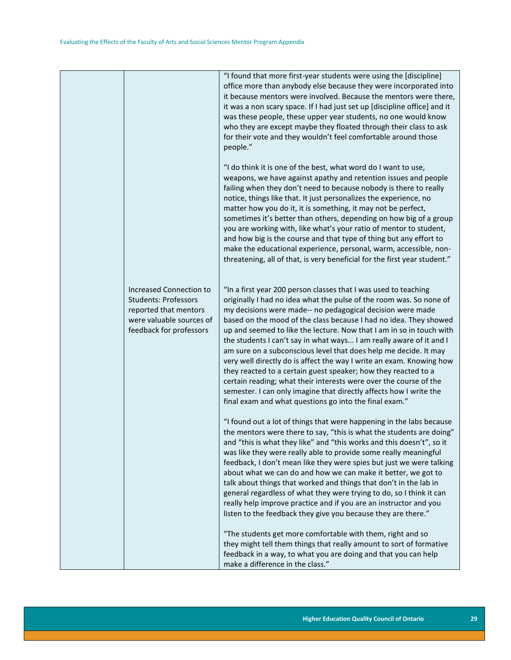|                                                                                                                                        | "I found that more first-year students were using the [discipline]<br>office more than anybody else because they were incorporated into<br>it because mentors were involved. Because the mentors were there,<br>it was a non scary space. If I had just set up [discipline office] and it<br>was these people, these upper year students, no one would know<br>who they are except maybe they floated through their class to ask<br>for their vote and they wouldn't feel comfortable around those<br>people."                                                                                                                                                                                                                                                                                                                              |
|----------------------------------------------------------------------------------------------------------------------------------------|---------------------------------------------------------------------------------------------------------------------------------------------------------------------------------------------------------------------------------------------------------------------------------------------------------------------------------------------------------------------------------------------------------------------------------------------------------------------------------------------------------------------------------------------------------------------------------------------------------------------------------------------------------------------------------------------------------------------------------------------------------------------------------------------------------------------------------------------|
|                                                                                                                                        | "I do think it is one of the best, what word do I want to use,<br>weapons, we have against apathy and retention issues and people<br>failing when they don't need to because nobody is there to really<br>notice, things like that. It just personalizes the experience, no<br>matter how you do it, it is something, it may not be perfect,<br>sometimes it's better than others, depending on how big of a group<br>you are working with, like what's your ratio of mentor to student,<br>and how big is the course and that type of thing but any effort to<br>make the educational experience, personal, warm, accessible, non-<br>threatening, all of that, is very beneficial for the first year student."                                                                                                                            |
| Increased Connection to<br><b>Students: Professors</b><br>reported that mentors<br>were valuable sources of<br>feedback for professors | "In a first year 200 person classes that I was used to teaching<br>originally I had no idea what the pulse of the room was. So none of<br>my decisions were made-- no pedagogical decision were made<br>based on the mood of the class because I had no idea. They showed<br>up and seemed to like the lecture. Now that I am in so in touch with<br>the students I can't say in what ways I am really aware of it and I<br>am sure on a subconscious level that does help me decide. It may<br>very well directly do is affect the way I write an exam. Knowing how<br>they reacted to a certain guest speaker; how they reacted to a<br>certain reading; what their interests were over the course of the<br>semester. I can only imagine that directly affects how I write the<br>final exam and what questions go into the final exam." |
|                                                                                                                                        | "I found out a lot of things that were happening in the labs because<br>the mentors were there to say, "this is what the students are doing"<br>and "this is what they like" and "this works and this doesn't", so it<br>was like they were really able to provide some really meaningful<br>feedback, I don't mean like they were spies but just we were talking<br>about what we can do and how we can make it better, we got to<br>talk about things that worked and things that don't in the lab in<br>general regardless of what they were trying to do, so I think it can<br>really help improve practice and if you are an instructor and you<br>listen to the feedback they give you because they are there."                                                                                                                       |
|                                                                                                                                        | "The students get more comfortable with them, right and so<br>they might tell them things that really amount to sort of formative<br>feedback in a way, to what you are doing and that you can help<br>make a difference in the class."                                                                                                                                                                                                                                                                                                                                                                                                                                                                                                                                                                                                     |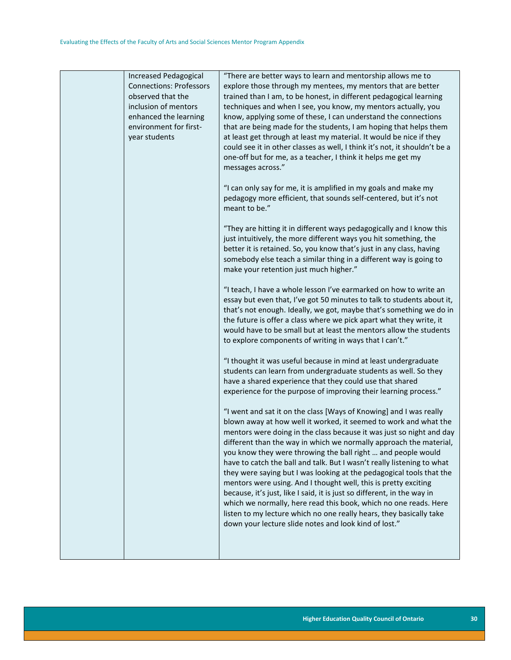| <b>Connections: Professors</b><br>observed that the<br>inclusion of mentors<br>enhanced the learning<br>environment for first-<br>year students | explore those through my mentees, my mentors that are better<br>trained than I am, to be honest, in different pedagogical learning<br>techniques and when I see, you know, my mentors actually, you<br>know, applying some of these, I can understand the connections<br>that are being made for the students, I am hoping that helps them<br>at least get through at least my material. It would be nice if they<br>could see it in other classes as well, I think it's not, it shouldn't be a<br>one-off but for me, as a teacher, I think it helps me get my<br>messages across."<br>"I can only say for me, it is amplified in my goals and make my<br>pedagogy more efficient, that sounds self-centered, but it's not<br>meant to be."<br>"They are hitting it in different ways pedagogically and I know this<br>just intuitively, the more different ways you hit something, the<br>better it is retained. So, you know that's just in any class, having<br>somebody else teach a similar thing in a different way is going to<br>make your retention just much higher."<br>"I teach, I have a whole lesson I've earmarked on how to write an<br>essay but even that, I've got 50 minutes to talk to students about it,<br>that's not enough. Ideally, we got, maybe that's something we do in<br>the future is offer a class where we pick apart what they write, it<br>would have to be small but at least the mentors allow the students<br>to explore components of writing in ways that I can't."<br>"I thought it was useful because in mind at least undergraduate<br>students can learn from undergraduate students as well. So they<br>have a shared experience that they could use that shared<br>experience for the purpose of improving their learning process."<br>"I went and sat it on the class [Ways of Knowing] and I was really<br>blown away at how well it worked, it seemed to work and what the<br>mentors were doing in the class because it was just so night and day<br>different than the way in which we normally approach the material,<br>you know they were throwing the ball right  and people would<br>have to catch the ball and talk. But I wasn't really listening to what<br>they were saying but I was looking at the pedagogical tools that the<br>mentors were using. And I thought well, this is pretty exciting<br>because, it's just, like I said, it is just so different, in the way in<br>which we normally, here read this book, which no one reads. Here<br>listen to my lecture which no one really hears, they basically take<br>down your lecture slide notes and look kind of lost." |
|-------------------------------------------------------------------------------------------------------------------------------------------------|--------------------------------------------------------------------------------------------------------------------------------------------------------------------------------------------------------------------------------------------------------------------------------------------------------------------------------------------------------------------------------------------------------------------------------------------------------------------------------------------------------------------------------------------------------------------------------------------------------------------------------------------------------------------------------------------------------------------------------------------------------------------------------------------------------------------------------------------------------------------------------------------------------------------------------------------------------------------------------------------------------------------------------------------------------------------------------------------------------------------------------------------------------------------------------------------------------------------------------------------------------------------------------------------------------------------------------------------------------------------------------------------------------------------------------------------------------------------------------------------------------------------------------------------------------------------------------------------------------------------------------------------------------------------------------------------------------------------------------------------------------------------------------------------------------------------------------------------------------------------------------------------------------------------------------------------------------------------------------------------------------------------------------------------------------------------------------------------------------------------------------------------------------------------------------------------------------------------------------------------------------------------------------------------------------------------------------------------------------------------------------------------------------------------------------------------------------------------------------------------------------------------------------------------------------------------------------------------------------------------------------------------------|
|-------------------------------------------------------------------------------------------------------------------------------------------------|--------------------------------------------------------------------------------------------------------------------------------------------------------------------------------------------------------------------------------------------------------------------------------------------------------------------------------------------------------------------------------------------------------------------------------------------------------------------------------------------------------------------------------------------------------------------------------------------------------------------------------------------------------------------------------------------------------------------------------------------------------------------------------------------------------------------------------------------------------------------------------------------------------------------------------------------------------------------------------------------------------------------------------------------------------------------------------------------------------------------------------------------------------------------------------------------------------------------------------------------------------------------------------------------------------------------------------------------------------------------------------------------------------------------------------------------------------------------------------------------------------------------------------------------------------------------------------------------------------------------------------------------------------------------------------------------------------------------------------------------------------------------------------------------------------------------------------------------------------------------------------------------------------------------------------------------------------------------------------------------------------------------------------------------------------------------------------------------------------------------------------------------------------------------------------------------------------------------------------------------------------------------------------------------------------------------------------------------------------------------------------------------------------------------------------------------------------------------------------------------------------------------------------------------------------------------------------------------------------------------------------------------------|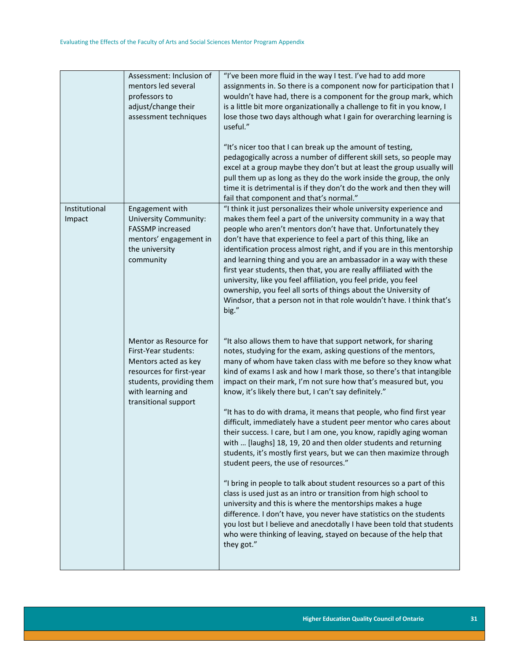|                         | Assessment: Inclusion of<br>mentors led several<br>professors to<br>adjust/change their<br>assessment techniques                                                            | "I've been more fluid in the way I test. I've had to add more<br>assignments in. So there is a component now for participation that I<br>wouldn't have had, there is a component for the group mark, which<br>is a little bit more organizationally a challenge to fit in you know, I<br>lose those two days although what I gain for overarching learning is<br>useful."<br>"It's nicer too that I can break up the amount of testing,<br>pedagogically across a number of different skill sets, so people may<br>excel at a group maybe they don't but at least the group usually will<br>pull them up as long as they do the work inside the group, the only<br>time it is detrimental is if they don't do the work and then they will<br>fail that component and that's normal."                                                                                                                                                                                                                                                                                                                                                                                                                                                                   |
|-------------------------|-----------------------------------------------------------------------------------------------------------------------------------------------------------------------------|--------------------------------------------------------------------------------------------------------------------------------------------------------------------------------------------------------------------------------------------------------------------------------------------------------------------------------------------------------------------------------------------------------------------------------------------------------------------------------------------------------------------------------------------------------------------------------------------------------------------------------------------------------------------------------------------------------------------------------------------------------------------------------------------------------------------------------------------------------------------------------------------------------------------------------------------------------------------------------------------------------------------------------------------------------------------------------------------------------------------------------------------------------------------------------------------------------------------------------------------------------|
| Institutional<br>Impact | Engagement with<br>University Community:<br><b>FASSMP</b> increased<br>mentors' engagement in<br>the university<br>community                                                | "I think it just personalizes their whole university experience and<br>makes them feel a part of the university community in a way that<br>people who aren't mentors don't have that. Unfortunately they<br>don't have that experience to feel a part of this thing, like an<br>identification process almost right, and if you are in this mentorship<br>and learning thing and you are an ambassador in a way with these<br>first year students, then that, you are really affiliated with the<br>university, like you feel affiliation, you feel pride, you feel<br>ownership, you feel all sorts of things about the University of<br>Windsor, that a person not in that role wouldn't have. I think that's<br>big."                                                                                                                                                                                                                                                                                                                                                                                                                                                                                                                               |
|                         | Mentor as Resource for<br>First-Year students:<br>Mentors acted as key<br>resources for first-year<br>students, providing them<br>with learning and<br>transitional support | "It also allows them to have that support network, for sharing<br>notes, studying for the exam, asking questions of the mentors,<br>many of whom have taken class with me before so they know what<br>kind of exams I ask and how I mark those, so there's that intangible<br>impact on their mark, I'm not sure how that's measured but, you<br>know, it's likely there but, I can't say definitely."<br>"It has to do with drama, it means that people, who find first year<br>difficult, immediately have a student peer mentor who cares about<br>their success. I care, but I am one, you know, rapidly aging woman<br>with  [laughs] 18, 19, 20 and then older students and returning<br>students, it's mostly first years, but we can then maximize through<br>student peers, the use of resources."<br>"I bring in people to talk about student resources so a part of this<br>class is used just as an intro or transition from high school to<br>university and this is where the mentorships makes a huge<br>difference. I don't have, you never have statistics on the students<br>you lost but I believe and anecdotally I have been told that students<br>who were thinking of leaving, stayed on because of the help that<br>they got." |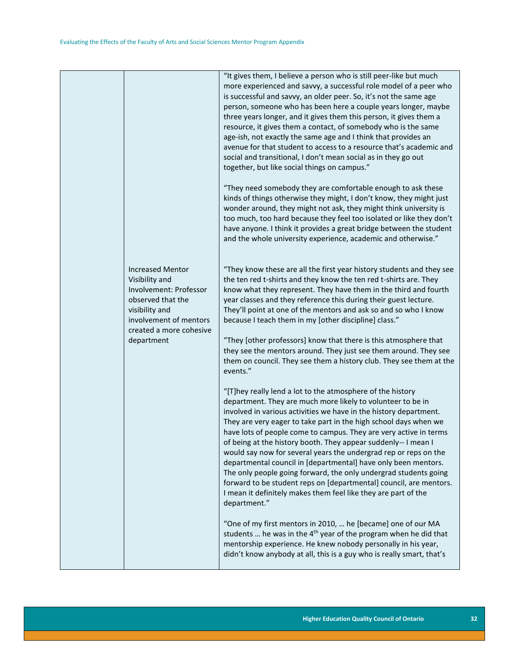|                                                                                                                                                                 | "It gives them, I believe a person who is still peer-like but much<br>more experienced and savvy, a successful role model of a peer who<br>is successful and savvy, an older peer. So, it's not the same age<br>person, someone who has been here a couple years longer, maybe<br>three years longer, and it gives them this person, it gives them a<br>resource, it gives them a contact, of somebody who is the same<br>age-ish, not exactly the same age and I think that provides an<br>avenue for that student to access to a resource that's academic and<br>social and transitional, I don't mean social as in they go out<br>together, but like social things on campus."                                                                                           |
|-----------------------------------------------------------------------------------------------------------------------------------------------------------------|-----------------------------------------------------------------------------------------------------------------------------------------------------------------------------------------------------------------------------------------------------------------------------------------------------------------------------------------------------------------------------------------------------------------------------------------------------------------------------------------------------------------------------------------------------------------------------------------------------------------------------------------------------------------------------------------------------------------------------------------------------------------------------|
|                                                                                                                                                                 | "They need somebody they are comfortable enough to ask these<br>kinds of things otherwise they might, I don't know, they might just<br>wonder around, they might not ask, they might think university is<br>too much, too hard because they feel too isolated or like they don't<br>have anyone. I think it provides a great bridge between the student<br>and the whole university experience, academic and otherwise."                                                                                                                                                                                                                                                                                                                                                    |
| <b>Increased Mentor</b><br>Visibility and<br>Involvement: Professor<br>observed that the<br>visibility and<br>involvement of mentors<br>created a more cohesive | "They know these are all the first year history students and they see<br>the ten red t-shirts and they know the ten red t-shirts are. They<br>know what they represent. They have them in the third and fourth<br>year classes and they reference this during their guest lecture.<br>They'll point at one of the mentors and ask so and so who I know<br>because I teach them in my [other discipline] class."                                                                                                                                                                                                                                                                                                                                                             |
| department                                                                                                                                                      | "They [other professors] know that there is this atmosphere that<br>they see the mentors around. They just see them around. They see<br>them on council. They see them a history club. They see them at the<br>events."                                                                                                                                                                                                                                                                                                                                                                                                                                                                                                                                                     |
|                                                                                                                                                                 | "[T]hey really lend a lot to the atmosphere of the history<br>department. They are much more likely to volunteer to be in<br>involved in various activities we have in the history department.<br>They are very eager to take part in the high school days when we<br>have lots of people come to campus. They are very active in terms<br>of being at the history booth. They appear suddenly-- I mean I<br>would say now for several years the undergrad rep or reps on the<br>departmental council in [departmental] have only been mentors.<br>The only people going forward, the only undergrad students going<br>forward to be student reps on [departmental] council, are mentors.<br>I mean it definitely makes them feel like they are part of the<br>department." |
|                                                                                                                                                                 | "One of my first mentors in 2010,  he [became] one of our MA<br>students  he was in the 4 <sup>th</sup> year of the program when he did that<br>mentorship experience. He knew nobody personally in his year,<br>didn't know anybody at all, this is a guy who is really smart, that's                                                                                                                                                                                                                                                                                                                                                                                                                                                                                      |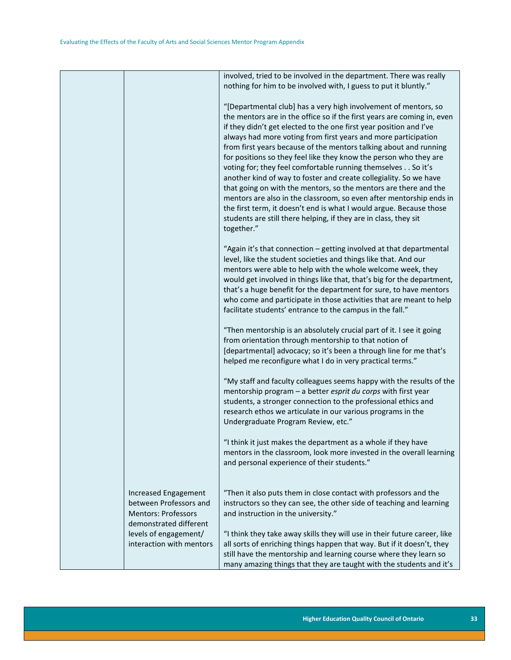|                                                                                                        | involved, tried to be involved in the department. There was really<br>nothing for him to be involved with, I guess to put it bluntly."                                                                                                                                                                                                                                                                                                                                                                                                                                                                                                                                                                                                                                                                                                                                |
|--------------------------------------------------------------------------------------------------------|-----------------------------------------------------------------------------------------------------------------------------------------------------------------------------------------------------------------------------------------------------------------------------------------------------------------------------------------------------------------------------------------------------------------------------------------------------------------------------------------------------------------------------------------------------------------------------------------------------------------------------------------------------------------------------------------------------------------------------------------------------------------------------------------------------------------------------------------------------------------------|
|                                                                                                        | "[Departmental club] has a very high involvement of mentors, so<br>the mentors are in the office so if the first years are coming in, even<br>if they didn't get elected to the one first year position and I've<br>always had more voting from first years and more participation<br>from first years because of the mentors talking about and running<br>for positions so they feel like they know the person who they are<br>voting for; they feel comfortable running themselves So it's<br>another kind of way to foster and create collegiality. So we have<br>that going on with the mentors, so the mentors are there and the<br>mentors are also in the classroom, so even after mentorship ends in<br>the first term, it doesn't end is what I would argue. Because those<br>students are still there helping, if they are in class, they sit<br>together." |
|                                                                                                        | "Again it's that connection - getting involved at that departmental<br>level, like the student societies and things like that. And our<br>mentors were able to help with the whole welcome week, they<br>would get involved in things like that, that's big for the department,<br>that's a huge benefit for the department for sure, to have mentors<br>who come and participate in those activities that are meant to help<br>facilitate students' entrance to the campus in the fall."                                                                                                                                                                                                                                                                                                                                                                             |
|                                                                                                        | "Then mentorship is an absolutely crucial part of it. I see it going<br>from orientation through mentorship to that notion of<br>[departmental] advocacy; so it's been a through line for me that's<br>helped me reconfigure what I do in very practical terms."                                                                                                                                                                                                                                                                                                                                                                                                                                                                                                                                                                                                      |
|                                                                                                        | "My staff and faculty colleagues seems happy with the results of the<br>mentorship program - a better esprit du corps with first year<br>students, a stronger connection to the professional ethics and<br>research ethos we articulate in our various programs in the<br>Undergraduate Program Review, etc."                                                                                                                                                                                                                                                                                                                                                                                                                                                                                                                                                         |
|                                                                                                        | "I think it just makes the department as a whole if they have<br>mentors in the classroom, look more invested in the overall learning<br>and personal experience of their students."                                                                                                                                                                                                                                                                                                                                                                                                                                                                                                                                                                                                                                                                                  |
| Increased Engagement<br>between Professors and<br><b>Mentors: Professors</b><br>demonstrated different | "Then it also puts them in close contact with professors and the<br>instructors so they can see, the other side of teaching and learning<br>and instruction in the university."                                                                                                                                                                                                                                                                                                                                                                                                                                                                                                                                                                                                                                                                                       |
| levels of engagement/<br>interaction with mentors                                                      | "I think they take away skills they will use in their future career, like<br>all sorts of enriching things happen that way. But if it doesn't, they<br>still have the mentorship and learning course where they learn so<br>many amazing things that they are taught with the students and it's                                                                                                                                                                                                                                                                                                                                                                                                                                                                                                                                                                       |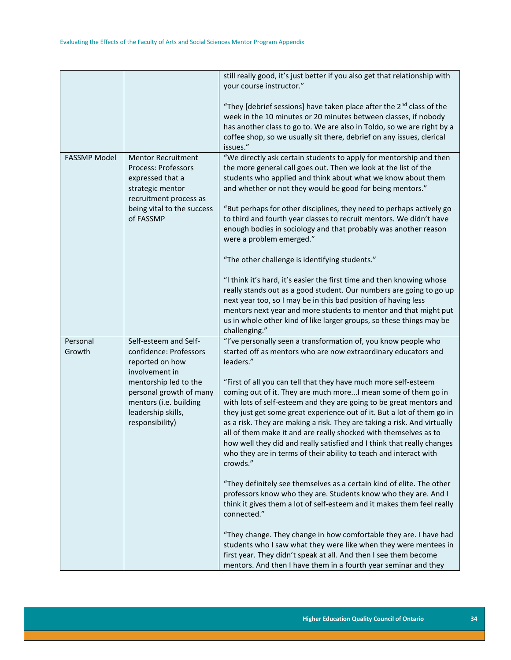|                     |                                                                                                                                                               | still really good, it's just better if you also get that relationship with<br>your course instructor."                                                                                                                                                                                                                                                                                                                                                                                                                                                                                        |
|---------------------|---------------------------------------------------------------------------------------------------------------------------------------------------------------|-----------------------------------------------------------------------------------------------------------------------------------------------------------------------------------------------------------------------------------------------------------------------------------------------------------------------------------------------------------------------------------------------------------------------------------------------------------------------------------------------------------------------------------------------------------------------------------------------|
|                     |                                                                                                                                                               | "They [debrief sessions] have taken place after the 2 <sup>nd</sup> class of the<br>week in the 10 minutes or 20 minutes between classes, if nobody<br>has another class to go to. We are also in Toldo, so we are right by a<br>coffee shop, so we usually sit there, debrief on any issues, clerical<br>issues."                                                                                                                                                                                                                                                                            |
| <b>FASSMP Model</b> | <b>Mentor Recruitment</b><br>Process: Professors<br>expressed that a<br>strategic mentor<br>recruitment process as<br>being vital to the success<br>of FASSMP | "We directly ask certain students to apply for mentorship and then<br>the more general call goes out. Then we look at the list of the<br>students who applied and think about what we know about them<br>and whether or not they would be good for being mentors."<br>"But perhaps for other disciplines, they need to perhaps actively go<br>to third and fourth year classes to recruit mentors. We didn't have<br>enough bodies in sociology and that probably was another reason<br>were a problem emerged."                                                                              |
|                     |                                                                                                                                                               | "The other challenge is identifying students."                                                                                                                                                                                                                                                                                                                                                                                                                                                                                                                                                |
|                     |                                                                                                                                                               | "I think it's hard, it's easier the first time and then knowing whose<br>really stands out as a good student. Our numbers are going to go up<br>next year too, so I may be in this bad position of having less<br>mentors next year and more students to mentor and that might put<br>us in whole other kind of like larger groups, so these things may be<br>challenging."                                                                                                                                                                                                                   |
| Personal<br>Growth  | Self-esteem and Self-<br>confidence: Professors<br>reported on how<br>involvement in                                                                          | "I've personally seen a transformation of, you know people who<br>started off as mentors who are now extraordinary educators and<br>leaders."                                                                                                                                                                                                                                                                                                                                                                                                                                                 |
|                     | mentorship led to the<br>personal growth of many<br>mentors (i.e. building<br>leadership skills,<br>responsibility)                                           | "First of all you can tell that they have much more self-esteem<br>coming out of it. They are much more I mean some of them go in<br>with lots of self-esteem and they are going to be great mentors and<br>they just get some great experience out of it. But a lot of them go in<br>as a risk. They are making a risk. They are taking a risk. And virtually<br>all of them make it and are really shocked with themselves as to<br>how well they did and really satisfied and I think that really changes<br>who they are in terms of their ability to teach and interact with<br>crowds." |
|                     |                                                                                                                                                               | "They definitely see themselves as a certain kind of elite. The other<br>professors know who they are. Students know who they are. And I<br>think it gives them a lot of self-esteem and it makes them feel really<br>connected."                                                                                                                                                                                                                                                                                                                                                             |
|                     |                                                                                                                                                               | "They change. They change in how comfortable they are. I have had<br>students who I saw what they were like when they were mentees in<br>first year. They didn't speak at all. And then I see them become<br>mentors. And then I have them in a fourth year seminar and they                                                                                                                                                                                                                                                                                                                  |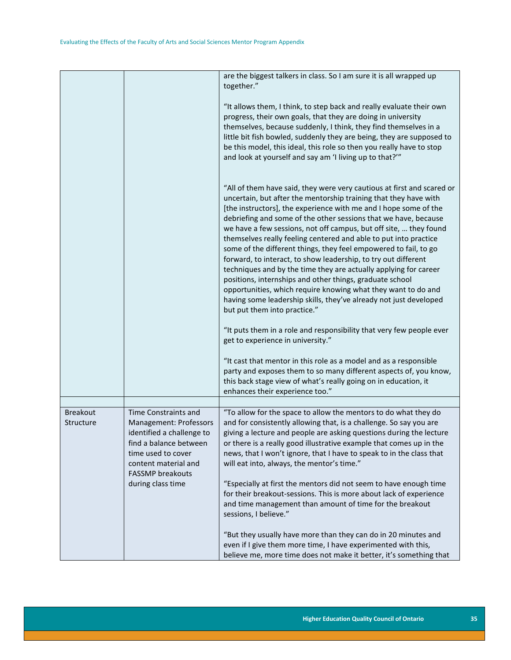|                              |                                                                                                                                                                                                     | are the biggest talkers in class. So I am sure it is all wrapped up<br>together."                                                                                                                                                                                                                                                                                                                                                                                                                                                                                                                                                                                                                                                                                                                                                                                                                                                                                                   |
|------------------------------|-----------------------------------------------------------------------------------------------------------------------------------------------------------------------------------------------------|-------------------------------------------------------------------------------------------------------------------------------------------------------------------------------------------------------------------------------------------------------------------------------------------------------------------------------------------------------------------------------------------------------------------------------------------------------------------------------------------------------------------------------------------------------------------------------------------------------------------------------------------------------------------------------------------------------------------------------------------------------------------------------------------------------------------------------------------------------------------------------------------------------------------------------------------------------------------------------------|
|                              |                                                                                                                                                                                                     | "It allows them, I think, to step back and really evaluate their own<br>progress, their own goals, that they are doing in university<br>themselves, because suddenly, I think, they find themselves in a<br>little bit fish bowled, suddenly they are being, they are supposed to<br>be this model, this ideal, this role so then you really have to stop<br>and look at yourself and say am 'I living up to that?""                                                                                                                                                                                                                                                                                                                                                                                                                                                                                                                                                                |
|                              |                                                                                                                                                                                                     | "All of them have said, they were very cautious at first and scared or<br>uncertain, but after the mentorship training that they have with<br>[the instructors], the experience with me and I hope some of the<br>debriefing and some of the other sessions that we have, because<br>we have a few sessions, not off campus, but off site,  they found<br>themselves really feeling centered and able to put into practice<br>some of the different things, they feel empowered to fail, to go<br>forward, to interact, to show leadership, to try out different<br>techniques and by the time they are actually applying for career<br>positions, internships and other things, graduate school<br>opportunities, which require knowing what they want to do and<br>having some leadership skills, they've already not just developed<br>but put them into practice."<br>"It puts them in a role and responsibility that very few people ever<br>get to experience in university." |
|                              |                                                                                                                                                                                                     | "It cast that mentor in this role as a model and as a responsible<br>party and exposes them to so many different aspects of, you know,<br>this back stage view of what's really going on in education, it<br>enhances their experience too."                                                                                                                                                                                                                                                                                                                                                                                                                                                                                                                                                                                                                                                                                                                                        |
|                              |                                                                                                                                                                                                     |                                                                                                                                                                                                                                                                                                                                                                                                                                                                                                                                                                                                                                                                                                                                                                                                                                                                                                                                                                                     |
| <b>Breakout</b><br>Structure | Time Constraints and<br>Management: Professors<br>identified a challenge to<br>find a balance between<br>time used to cover<br>content material and<br><b>FASSMP</b> breakouts<br>during class time | "To allow for the space to allow the mentors to do what they do<br>and for consistently allowing that, is a challenge. So say you are<br>giving a lecture and people are asking questions during the lecture<br>or there is a really good illustrative example that comes up in the<br>news, that I won't ignore, that I have to speak to in the class that<br>will eat into, always, the mentor's time."<br>"Especially at first the mentors did not seem to have enough time<br>for their breakout-sessions. This is more about lack of experience<br>and time management than amount of time for the breakout<br>sessions, I believe."                                                                                                                                                                                                                                                                                                                                           |
|                              |                                                                                                                                                                                                     | "But they usually have more than they can do in 20 minutes and<br>even if I give them more time, I have experimented with this,<br>believe me, more time does not make it better, it's something that                                                                                                                                                                                                                                                                                                                                                                                                                                                                                                                                                                                                                                                                                                                                                                               |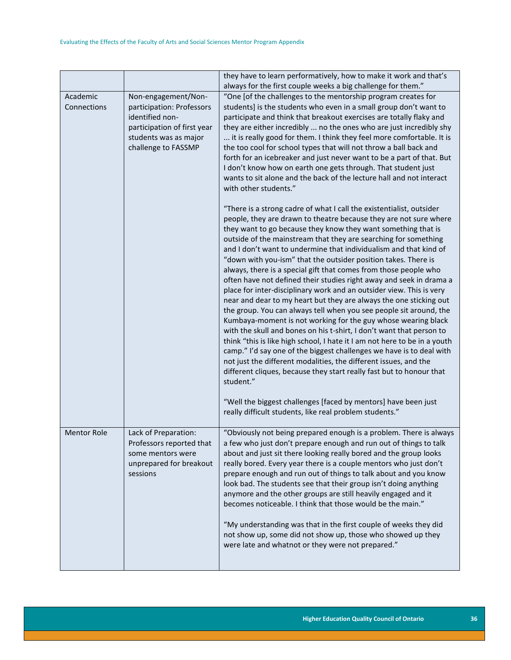|                         |                                                                                                                                                    | they have to learn performatively, how to make it work and that's<br>always for the first couple weeks a big challenge for them."                                                                                                                                                                                                                                                                                                                                                                                                                                                                                                                                                                                                                                                                                                                                                                                                                                                                                                                                                                                                                                                                                                          |
|-------------------------|----------------------------------------------------------------------------------------------------------------------------------------------------|--------------------------------------------------------------------------------------------------------------------------------------------------------------------------------------------------------------------------------------------------------------------------------------------------------------------------------------------------------------------------------------------------------------------------------------------------------------------------------------------------------------------------------------------------------------------------------------------------------------------------------------------------------------------------------------------------------------------------------------------------------------------------------------------------------------------------------------------------------------------------------------------------------------------------------------------------------------------------------------------------------------------------------------------------------------------------------------------------------------------------------------------------------------------------------------------------------------------------------------------|
| Academic<br>Connections | Non-engagement/Non-<br>participation: Professors<br>identified non-<br>participation of first year<br>students was as major<br>challenge to FASSMP | "One [of the challenges to the mentorship program creates for<br>students] is the students who even in a small group don't want to<br>participate and think that breakout exercises are totally flaky and<br>they are either incredibly  no the ones who are just incredibly shy<br>it is really good for them. I think they feel more comfortable. It is<br>the too cool for school types that will not throw a ball back and<br>forth for an icebreaker and just never want to be a part of that. But<br>I don't know how on earth one gets through. That student just<br>wants to sit alone and the back of the lecture hall and not interact<br>with other students."                                                                                                                                                                                                                                                                                                                                                                                                                                                                                                                                                                  |
|                         |                                                                                                                                                    | "There is a strong cadre of what I call the existentialist, outsider<br>people, they are drawn to theatre because they are not sure where<br>they want to go because they know they want something that is<br>outside of the mainstream that they are searching for something<br>and I don't want to undermine that individualism and that kind of<br>"down with you-ism" that the outsider position takes. There is<br>always, there is a special gift that comes from those people who<br>often have not defined their studies right away and seek in drama a<br>place for inter-disciplinary work and an outsider view. This is very<br>near and dear to my heart but they are always the one sticking out<br>the group. You can always tell when you see people sit around, the<br>Kumbaya-moment is not working for the guy whose wearing black<br>with the skull and bones on his t-shirt, I don't want that person to<br>think "this is like high school, I hate it I am not here to be in a youth<br>camp." I'd say one of the biggest challenges we have is to deal with<br>not just the different modalities, the different issues, and the<br>different cliques, because they start really fast but to honour that<br>student." |
|                         |                                                                                                                                                    | "Well the biggest challenges [faced by mentors] have been just<br>really difficult students, like real problem students."                                                                                                                                                                                                                                                                                                                                                                                                                                                                                                                                                                                                                                                                                                                                                                                                                                                                                                                                                                                                                                                                                                                  |
| <b>Mentor Role</b>      | Lack of Preparation:<br>Professors reported that<br>some mentors were<br>unprepared for breakout<br>sessions                                       | "Obviously not being prepared enough is a problem. There is always<br>a few who just don't prepare enough and run out of things to talk<br>about and just sit there looking really bored and the group looks<br>really bored. Every year there is a couple mentors who just don't<br>prepare enough and run out of things to talk about and you know<br>look bad. The students see that their group isn't doing anything<br>anymore and the other groups are still heavily engaged and it<br>becomes noticeable. I think that those would be the main."                                                                                                                                                                                                                                                                                                                                                                                                                                                                                                                                                                                                                                                                                    |
|                         |                                                                                                                                                    | "My understanding was that in the first couple of weeks they did<br>not show up, some did not show up, those who showed up they<br>were late and whatnot or they were not prepared."                                                                                                                                                                                                                                                                                                                                                                                                                                                                                                                                                                                                                                                                                                                                                                                                                                                                                                                                                                                                                                                       |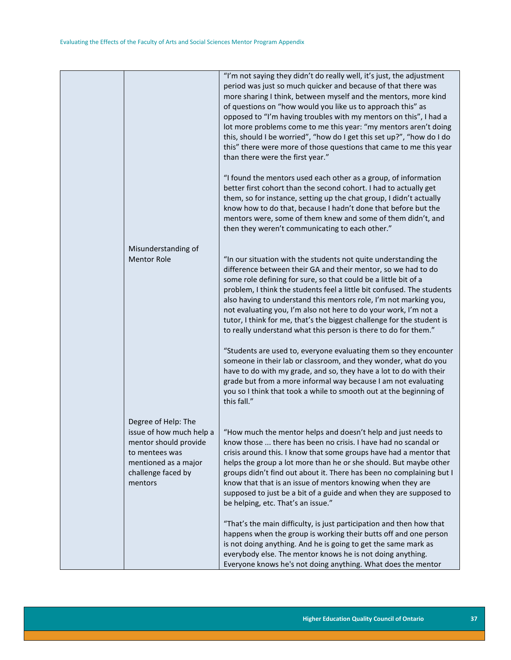|                                                                                                                                                     | "I'm not saying they didn't do really well, it's just, the adjustment<br>period was just so much quicker and because of that there was<br>more sharing I think, between myself and the mentors, more kind<br>of questions on "how would you like us to approach this" as<br>opposed to "I'm having troubles with my mentors on this", I had a<br>lot more problems come to me this year: "my mentors aren't doing<br>this, should I be worried", "how do I get this set up?", "how do I do<br>this" there were more of those questions that came to me this year<br>than there were the first year." |
|-----------------------------------------------------------------------------------------------------------------------------------------------------|------------------------------------------------------------------------------------------------------------------------------------------------------------------------------------------------------------------------------------------------------------------------------------------------------------------------------------------------------------------------------------------------------------------------------------------------------------------------------------------------------------------------------------------------------------------------------------------------------|
|                                                                                                                                                     | "I found the mentors used each other as a group, of information<br>better first cohort than the second cohort. I had to actually get<br>them, so for instance, setting up the chat group, I didn't actually<br>know how to do that, because I hadn't done that before but the<br>mentors were, some of them knew and some of them didn't, and<br>then they weren't communicating to each other."                                                                                                                                                                                                     |
| Misunderstanding of<br><b>Mentor Role</b>                                                                                                           | "In our situation with the students not quite understanding the<br>difference between their GA and their mentor, so we had to do<br>some role defining for sure, so that could be a little bit of a<br>problem, I think the students feel a little bit confused. The students<br>also having to understand this mentors role, I'm not marking you,<br>not evaluating you, I'm also not here to do your work, I'm not a<br>tutor, I think for me, that's the biggest challenge for the student is<br>to really understand what this person is there to do for them."                                  |
|                                                                                                                                                     | "Students are used to, everyone evaluating them so they encounter<br>someone in their lab or classroom, and they wonder, what do you<br>have to do with my grade, and so, they have a lot to do with their<br>grade but from a more informal way because I am not evaluating<br>you so I think that took a while to smooth out at the beginning of<br>this fall."                                                                                                                                                                                                                                    |
| Degree of Help: The<br>issue of how much help a<br>mentor should provide<br>to mentees was<br>mentioned as a major<br>challenge faced by<br>mentors | "How much the mentor helps and doesn't help and just needs to<br>know those  there has been no crisis. I have had no scandal or<br>crisis around this. I know that some groups have had a mentor that<br>helps the group a lot more than he or she should. But maybe other<br>groups didn't find out about it. There has been no complaining but I<br>know that that is an issue of mentors knowing when they are<br>supposed to just be a bit of a guide and when they are supposed to<br>be helping, etc. That's an issue."                                                                        |
|                                                                                                                                                     | "That's the main difficulty, is just participation and then how that<br>happens when the group is working their butts off and one person<br>is not doing anything. And he is going to get the same mark as<br>everybody else. The mentor knows he is not doing anything.<br>Everyone knows he's not doing anything. What does the mentor                                                                                                                                                                                                                                                             |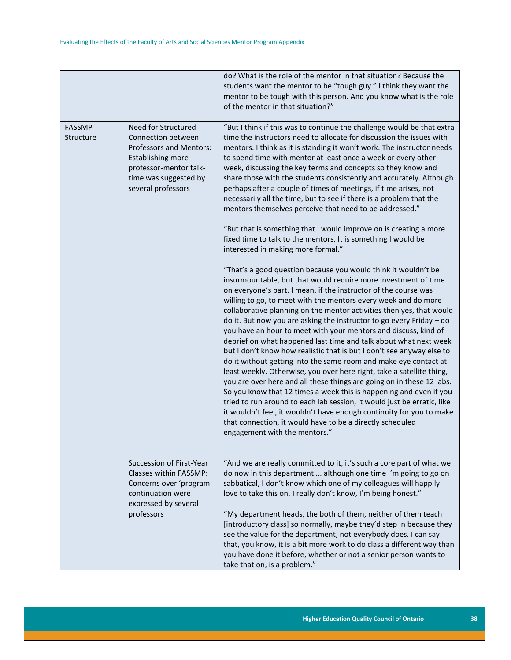|                            |                                                                                                                                                                           | do? What is the role of the mentor in that situation? Because the<br>students want the mentor to be "tough guy." I think they want the<br>mentor to be tough with this person. And you know what is the role<br>of the mentor in that situation?"                                                                                                                                                                                                                                                                                                                                                                                                                                                                                                                                                                                                                                                                                                                                                                                                                                                                                                                                  |
|----------------------------|---------------------------------------------------------------------------------------------------------------------------------------------------------------------------|------------------------------------------------------------------------------------------------------------------------------------------------------------------------------------------------------------------------------------------------------------------------------------------------------------------------------------------------------------------------------------------------------------------------------------------------------------------------------------------------------------------------------------------------------------------------------------------------------------------------------------------------------------------------------------------------------------------------------------------------------------------------------------------------------------------------------------------------------------------------------------------------------------------------------------------------------------------------------------------------------------------------------------------------------------------------------------------------------------------------------------------------------------------------------------|
| <b>FASSMP</b><br>Structure | Need for Structured<br>Connection between<br>Professors and Mentors:<br><b>Establishing more</b><br>professor-mentor talk-<br>time was suggested by<br>several professors | "But I think if this was to continue the challenge would be that extra<br>time the instructors need to allocate for discussion the issues with<br>mentors. I think as it is standing it won't work. The instructor needs<br>to spend time with mentor at least once a week or every other<br>week, discussing the key terms and concepts so they know and<br>share those with the students consistently and accurately. Although<br>perhaps after a couple of times of meetings, if time arises, not<br>necessarily all the time, but to see if there is a problem that the<br>mentors themselves perceive that need to be addressed."<br>"But that is something that I would improve on is creating a more                                                                                                                                                                                                                                                                                                                                                                                                                                                                        |
|                            |                                                                                                                                                                           | fixed time to talk to the mentors. It is something I would be<br>interested in making more formal."                                                                                                                                                                                                                                                                                                                                                                                                                                                                                                                                                                                                                                                                                                                                                                                                                                                                                                                                                                                                                                                                                |
|                            |                                                                                                                                                                           | "That's a good question because you would think it wouldn't be<br>insurmountable, but that would require more investment of time<br>on everyone's part. I mean, if the instructor of the course was<br>willing to go, to meet with the mentors every week and do more<br>collaborative planning on the mentor activities then yes, that would<br>do it. But now you are asking the instructor to go every Friday - do<br>you have an hour to meet with your mentors and discuss, kind of<br>debrief on what happened last time and talk about what next week<br>but I don't know how realistic that is but I don't see anyway else to<br>do it without getting into the same room and make eye contact at<br>least weekly. Otherwise, you over here right, take a satellite thing,<br>you are over here and all these things are going on in these 12 labs.<br>So you know that 12 times a week this is happening and even if you<br>tried to run around to each lab session, it would just be erratic, like<br>it wouldn't feel, it wouldn't have enough continuity for you to make<br>that connection, it would have to be a directly scheduled<br>engagement with the mentors." |
|                            | Succession of First-Year<br>Classes within FASSMP:<br>Concerns over 'program<br>continuation were<br>expressed by several                                                 | "And we are really committed to it, it's such a core part of what we<br>do now in this department  although one time I'm going to go on<br>sabbatical, I don't know which one of my colleagues will happily<br>love to take this on. I really don't know, I'm being honest."                                                                                                                                                                                                                                                                                                                                                                                                                                                                                                                                                                                                                                                                                                                                                                                                                                                                                                       |
|                            | professors                                                                                                                                                                | "My department heads, the both of them, neither of them teach<br>[introductory class] so normally, maybe they'd step in because they<br>see the value for the department, not everybody does. I can say<br>that, you know, it is a bit more work to do class a different way than<br>you have done it before, whether or not a senior person wants to<br>take that on, is a problem."                                                                                                                                                                                                                                                                                                                                                                                                                                                                                                                                                                                                                                                                                                                                                                                              |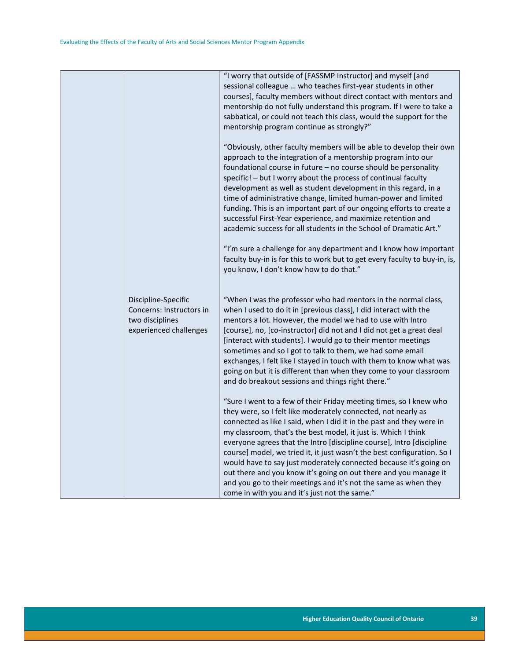|                                                                                              | "I worry that outside of [FASSMP Instructor] and myself [and<br>sessional colleague  who teaches first-year students in other<br>courses], faculty members without direct contact with mentors and<br>mentorship do not fully understand this program. If I were to take a<br>sabbatical, or could not teach this class, would the support for the<br>mentorship program continue as strongly?"                                                                                                                                                                                                                                                                                                |
|----------------------------------------------------------------------------------------------|------------------------------------------------------------------------------------------------------------------------------------------------------------------------------------------------------------------------------------------------------------------------------------------------------------------------------------------------------------------------------------------------------------------------------------------------------------------------------------------------------------------------------------------------------------------------------------------------------------------------------------------------------------------------------------------------|
|                                                                                              | "Obviously, other faculty members will be able to develop their own<br>approach to the integration of a mentorship program into our<br>foundational course in future - no course should be personality<br>specific! - but I worry about the process of continual faculty<br>development as well as student development in this regard, in a<br>time of administrative change, limited human-power and limited<br>funding. This is an important part of our ongoing efforts to create a<br>successful First-Year experience, and maximize retention and<br>academic success for all students in the School of Dramatic Art."                                                                    |
|                                                                                              | "I'm sure a challenge for any department and I know how important<br>faculty buy-in is for this to work but to get every faculty to buy-in, is,<br>you know, I don't know how to do that."                                                                                                                                                                                                                                                                                                                                                                                                                                                                                                     |
| Discipline-Specific<br>Concerns: Instructors in<br>two disciplines<br>experienced challenges | "When I was the professor who had mentors in the normal class,<br>when I used to do it in [previous class], I did interact with the<br>mentors a lot. However, the model we had to use with Intro<br>[course], no, [co-instructor] did not and I did not get a great deal<br>[interact with students]. I would go to their mentor meetings<br>sometimes and so I got to talk to them, we had some email<br>exchanges, I felt like I stayed in touch with them to know what was<br>going on but it is different than when they come to your classroom<br>and do breakout sessions and things right there."                                                                                      |
|                                                                                              | "Sure I went to a few of their Friday meeting times, so I knew who<br>they were, so I felt like moderately connected, not nearly as<br>connected as like I said, when I did it in the past and they were in<br>my classroom, that's the best model, it just is. Which I think<br>everyone agrees that the Intro [discipline course], Intro [discipline<br>course] model, we tried it, it just wasn't the best configuration. So I<br>would have to say just moderately connected because it's going on<br>out there and you know it's going on out there and you manage it<br>and you go to their meetings and it's not the same as when they<br>come in with you and it's just not the same." |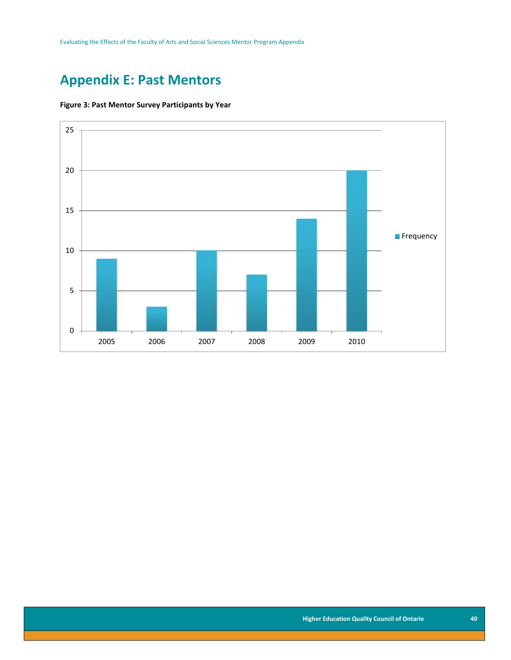Evaluating the Effects of the Faculty of Arts and Social Sciences Mentor Program Appendix

### <span id="page-40-0"></span>**Appendix E: Past Mentors**

#### <span id="page-40-1"></span>**Figure 3: Past Mentor Survey Participants by Year**

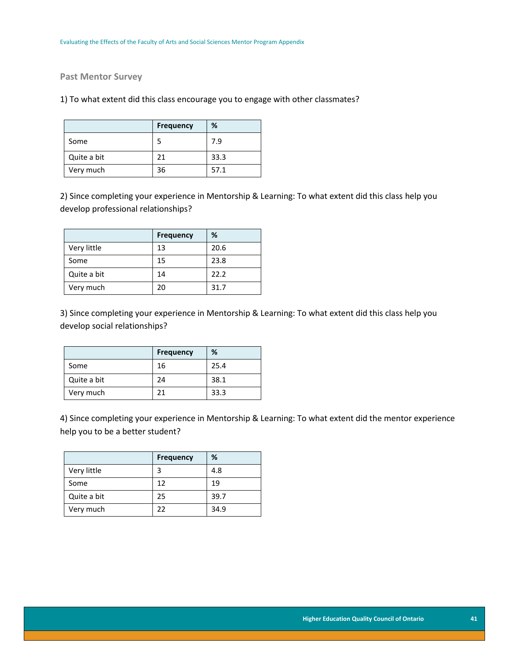#### **Past Mentor Survey**

#### 1) To what extent did this class encourage you to engage with other classmates?

|             | <b>Frequency</b> | %    |
|-------------|------------------|------|
| Some        |                  | 7.9  |
| Quite a bit | 21               | 33.3 |
| Very much   | 36               | 57.1 |

2) Since completing your experience in Mentorship & Learning: To what extent did this class help you develop professional relationships?

|             | <b>Frequency</b> | %    |
|-------------|------------------|------|
| Very little | 13               | 20.6 |
| Some        | 15               | 23.8 |
| Quite a bit | 14               | 22.2 |
| Very much   | 20               | 31.7 |

3) Since completing your experience in Mentorship & Learning: To what extent did this class help you develop social relationships?

|             | <b>Frequency</b> | %    |
|-------------|------------------|------|
| Some        | 16               | 25.4 |
| Quite a bit | 24               | 38.1 |
| Very much   | 71               | 33.3 |

4) Since completing your experience in Mentorship & Learning: To what extent did the mentor experience help you to be a better student?

|             | <b>Frequency</b> | %    |
|-------------|------------------|------|
| Very little |                  | 4.8  |
| Some        | 12               | 19   |
| Quite a bit | 25               | 39.7 |
| Very much   | 22               | 34.9 |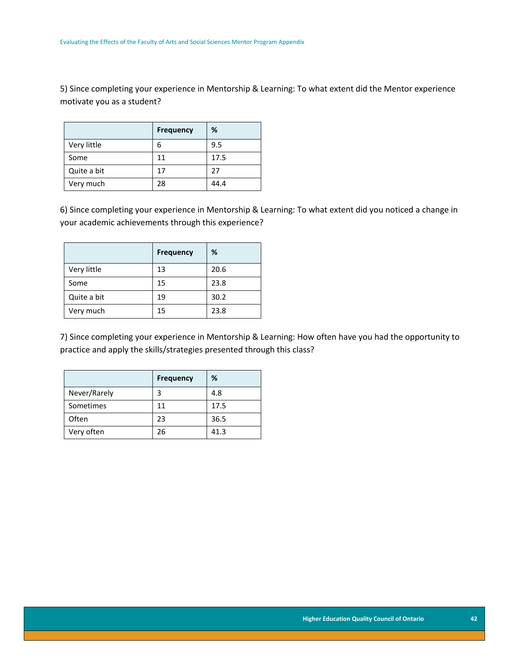5) Since completing your experience in Mentorship & Learning: To what extent did the Mentor experience motivate you as a student?

|             | <b>Frequency</b> | %    |
|-------------|------------------|------|
| Very little | 6                | 9.5  |
| Some        | 11               | 17.5 |
| Quite a bit | 17               | 27   |
| Very much   | 28               | 44.4 |

6) Since completing your experience in Mentorship & Learning: To what extent did you noticed a change in your academic achievements through this experience?

|             | <b>Frequency</b> | %    |
|-------------|------------------|------|
| Very little | 13               | 20.6 |
| Some        | 15               | 23.8 |
| Quite a bit | 19               | 30.2 |
| Very much   | 15               | 23.8 |

7) Since completing your experience in Mentorship & Learning: How often have you had the opportunity to practice and apply the skills/strategies presented through this class?

|              | <b>Frequency</b> | %    |
|--------------|------------------|------|
| Never/Rarely |                  | 4.8  |
| Sometimes    | 11               | 17.5 |
| Often        | 23               | 36.5 |
| Very often   | 26               | 41.3 |